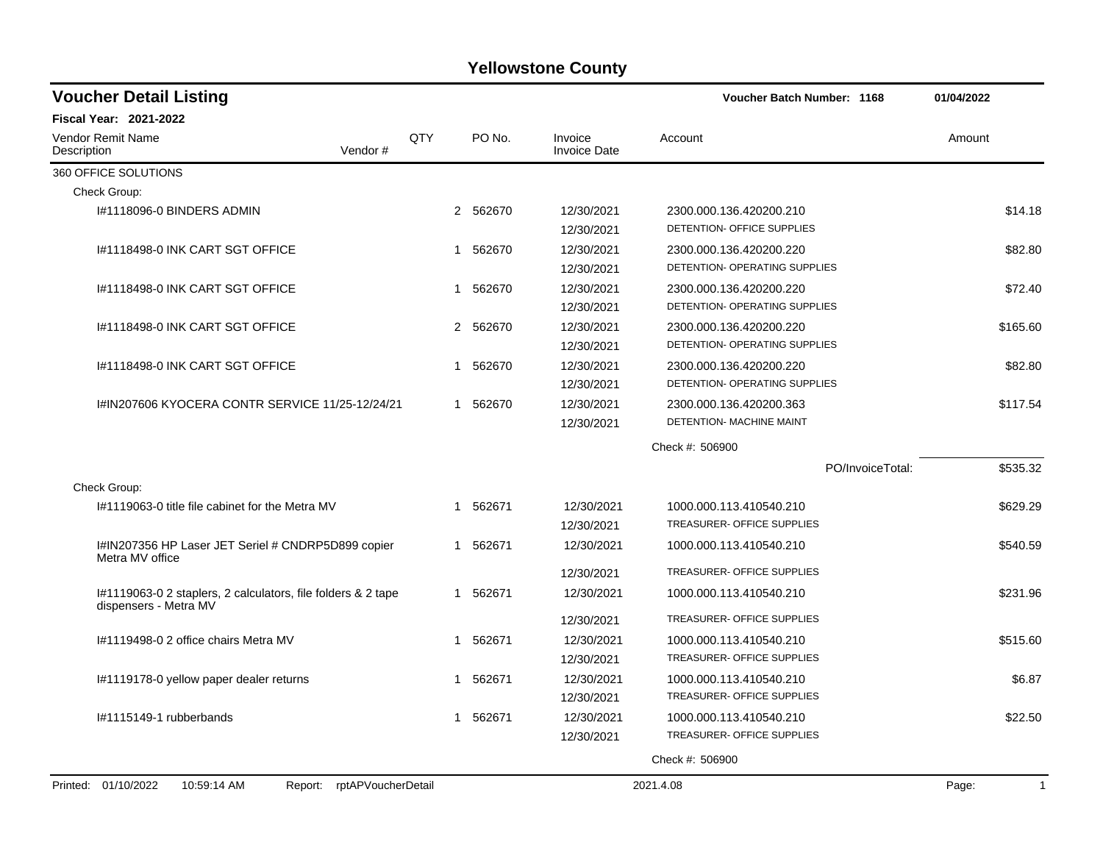| <b>Voucher Detail Listing</b>                                                         |     |          |                                | Voucher Batch Number: 1168                               | 01/04/2022            |
|---------------------------------------------------------------------------------------|-----|----------|--------------------------------|----------------------------------------------------------|-----------------------|
| <b>Fiscal Year: 2021-2022</b>                                                         |     |          |                                |                                                          |                       |
| Vendor Remit Name<br>Vendor#<br>Description                                           | QTY | PO No.   | Invoice<br><b>Invoice Date</b> | Account                                                  | Amount                |
| 360 OFFICE SOLUTIONS                                                                  |     |          |                                |                                                          |                       |
| Check Group:                                                                          |     |          |                                |                                                          |                       |
| I#1118096-0 BINDERS ADMIN                                                             |     | 2 562670 | 12/30/2021<br>12/30/2021       | 2300.000.136.420200.210<br>DETENTION- OFFICE SUPPLIES    | \$14.18               |
| I#1118498-0 INK CART SGT OFFICE                                                       | 1   | 562670   | 12/30/2021<br>12/30/2021       | 2300.000.136.420200.220<br>DETENTION- OPERATING SUPPLIES | \$82.80               |
| I#1118498-0 INK CART SGT OFFICE                                                       | 1   | 562670   | 12/30/2021<br>12/30/2021       | 2300.000.136.420200.220<br>DETENTION- OPERATING SUPPLIES | \$72.40               |
| I#1118498-0 INK CART SGT OFFICE                                                       |     | 2 562670 | 12/30/2021<br>12/30/2021       | 2300.000.136.420200.220<br>DETENTION- OPERATING SUPPLIES | \$165.60              |
| I#1118498-0 INK CART SGT OFFICE                                                       | 1   | 562670   | 12/30/2021<br>12/30/2021       | 2300.000.136.420200.220<br>DETENTION- OPERATING SUPPLIES | \$82.80               |
| 1#IN207606 KYOCERA CONTR SERVICE 11/25-12/24/21                                       | 1   | 562670   | 12/30/2021<br>12/30/2021       | 2300.000.136.420200.363<br>DETENTION- MACHINE MAINT      | \$117.54              |
|                                                                                       |     |          |                                | Check #: 506900                                          |                       |
|                                                                                       |     |          |                                | PO/InvoiceTotal:                                         | \$535.32              |
| Check Group:                                                                          |     |          |                                |                                                          |                       |
| 1#1119063-0 title file cabinet for the Metra MV                                       | 1   | 562671   | 12/30/2021<br>12/30/2021       | 1000.000.113.410540.210<br>TREASURER- OFFICE SUPPLIES    | \$629.29              |
| I#IN207356 HP Laser JET Seriel # CNDRP5D899 copier<br>Metra MV office                 | 1   | 562671   | 12/30/2021                     | 1000.000.113.410540.210                                  | \$540.59              |
|                                                                                       |     |          | 12/30/2021                     | TREASURER- OFFICE SUPPLIES                               |                       |
| I#1119063-0 2 staplers, 2 calculators, file folders & 2 tape<br>dispensers - Metra MV | 1   | 562671   | 12/30/2021                     | 1000.000.113.410540.210                                  | \$231.96              |
|                                                                                       |     |          | 12/30/2021                     | TREASURER- OFFICE SUPPLIES                               |                       |
| I#1119498-0 2 office chairs Metra MV                                                  | 1   | 562671   | 12/30/2021<br>12/30/2021       | 1000.000.113.410540.210<br>TREASURER- OFFICE SUPPLIES    | \$515.60              |
| I#1119178-0 yellow paper dealer returns                                               | 1   | 562671   | 12/30/2021<br>12/30/2021       | 1000.000.113.410540.210<br>TREASURER- OFFICE SUPPLIES    | \$6.87                |
| I#1115149-1 rubberbands                                                               | 1   | 562671   | 12/30/2021<br>12/30/2021       | 1000.000.113.410540.210<br>TREASURER- OFFICE SUPPLIES    | \$22.50               |
|                                                                                       |     |          |                                | Check #: 506900                                          |                       |
| Printed: 01/10/2022<br>10:59:14 AM<br>Report: rptAPVoucherDetail                      |     |          |                                | 2021.4.08                                                | $\mathbf{1}$<br>Page: |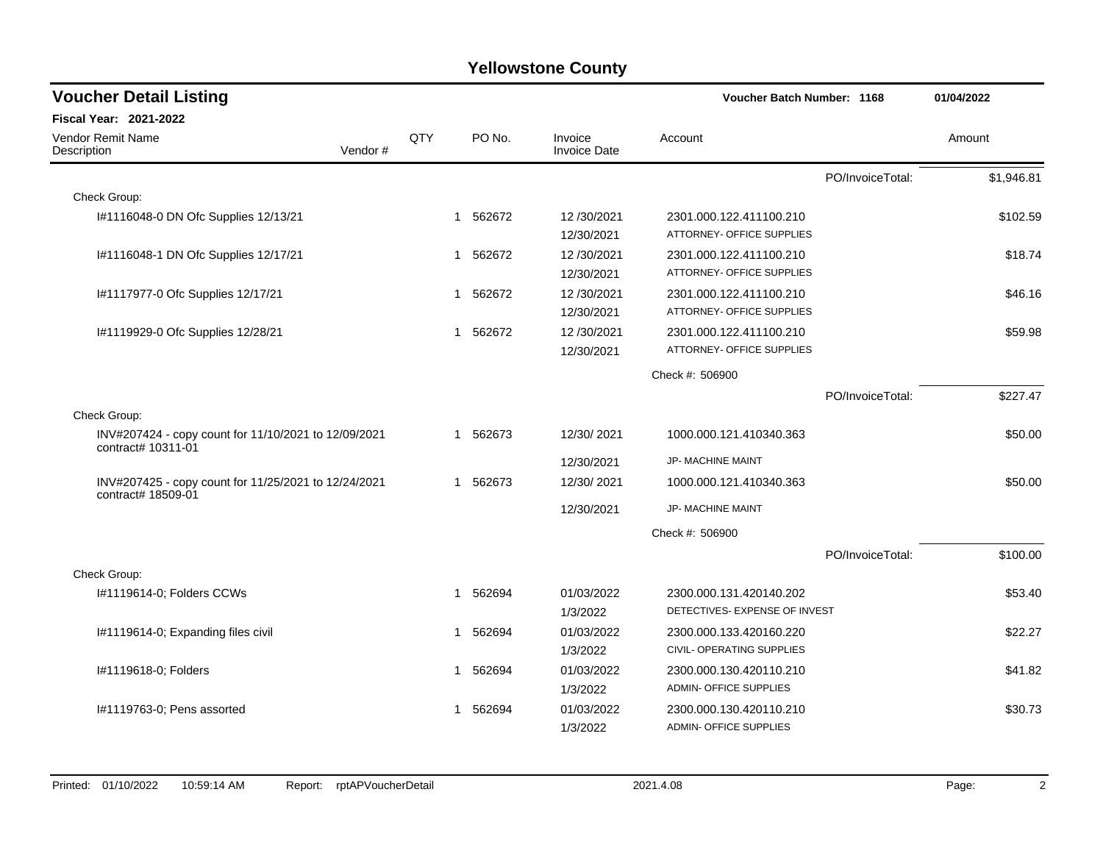| <b>Voucher Detail Listing</b>                                              | Voucher Batch Number: 1168 |   | 01/04/2022 |                                |                               |                  |            |
|----------------------------------------------------------------------------|----------------------------|---|------------|--------------------------------|-------------------------------|------------------|------------|
| Fiscal Year: 2021-2022                                                     |                            |   |            |                                |                               |                  |            |
| Vendor Remit Name<br>Vendor#<br>Description                                | QTY                        |   | PO No.     | Invoice<br><b>Invoice Date</b> | Account                       |                  | Amount     |
|                                                                            |                            |   |            |                                |                               | PO/InvoiceTotal: | \$1,946.81 |
| Check Group:                                                               |                            |   |            |                                |                               |                  |            |
| I#1116048-0 DN Ofc Supplies 12/13/21                                       |                            |   | 1 562672   | 12/30/2021                     | 2301.000.122.411100.210       |                  | \$102.59   |
|                                                                            |                            |   |            | 12/30/2021                     | ATTORNEY- OFFICE SUPPLIES     |                  |            |
| I#1116048-1 DN Ofc Supplies 12/17/21                                       |                            |   | 1 562672   | 12/30/2021                     | 2301.000.122.411100.210       |                  | \$18.74    |
|                                                                            |                            |   |            | 12/30/2021                     | ATTORNEY- OFFICE SUPPLIES     |                  |            |
| I#1117977-0 Ofc Supplies 12/17/21                                          |                            | 1 | 562672     | 12/30/2021                     | 2301.000.122.411100.210       |                  | \$46.16    |
|                                                                            |                            |   |            | 12/30/2021                     | ATTORNEY- OFFICE SUPPLIES     |                  |            |
| I#1119929-0 Ofc Supplies 12/28/21                                          |                            |   | 1 562672   | 12/30/2021                     | 2301.000.122.411100.210       |                  | \$59.98    |
|                                                                            |                            |   |            | 12/30/2021                     | ATTORNEY- OFFICE SUPPLIES     |                  |            |
|                                                                            |                            |   |            |                                | Check #: 506900               |                  |            |
|                                                                            |                            |   |            |                                |                               | PO/InvoiceTotal: | \$227.47   |
| Check Group:                                                               |                            |   |            |                                |                               |                  |            |
| INV#207424 - copy count for 11/10/2021 to 12/09/2021<br>contract# 10311-01 |                            |   | 1 562673   | 12/30/2021                     | 1000.000.121.410340.363       |                  | \$50.00    |
|                                                                            |                            |   |            | 12/30/2021                     | JP- MACHINE MAINT             |                  |            |
| INV#207425 - copy count for 11/25/2021 to 12/24/2021<br>contract# 18509-01 |                            |   | 1 562673   | 12/30/2021                     | 1000.000.121.410340.363       |                  | \$50.00    |
|                                                                            |                            |   |            | 12/30/2021                     | JP- MACHINE MAINT             |                  |            |
|                                                                            |                            |   |            |                                | Check #: 506900               |                  |            |
|                                                                            |                            |   |            |                                |                               | PO/InvoiceTotal: | \$100.00   |
| Check Group:                                                               |                            |   |            |                                |                               |                  |            |
| I#1119614-0; Folders CCWs                                                  |                            |   | 1 562694   | 01/03/2022                     | 2300.000.131.420140.202       |                  | \$53.40    |
|                                                                            |                            |   |            | 1/3/2022                       | DETECTIVES- EXPENSE OF INVEST |                  |            |
| I#1119614-0; Expanding files civil                                         |                            | 1 | 562694     | 01/03/2022                     | 2300.000.133.420160.220       |                  | \$22.27    |
|                                                                            |                            |   |            | 1/3/2022                       | CIVIL- OPERATING SUPPLIES     |                  |            |
| I#1119618-0; Folders                                                       |                            | 1 | 562694     | 01/03/2022                     | 2300.000.130.420110.210       |                  | \$41.82    |
|                                                                            |                            |   |            | 1/3/2022                       | <b>ADMIN- OFFICE SUPPLIES</b> |                  |            |
| I#1119763-0; Pens assorted                                                 |                            | 1 | 562694     | 01/03/2022                     | 2300.000.130.420110.210       |                  | \$30.73    |
|                                                                            |                            |   |            | 1/3/2022                       | <b>ADMIN- OFFICE SUPPLIES</b> |                  |            |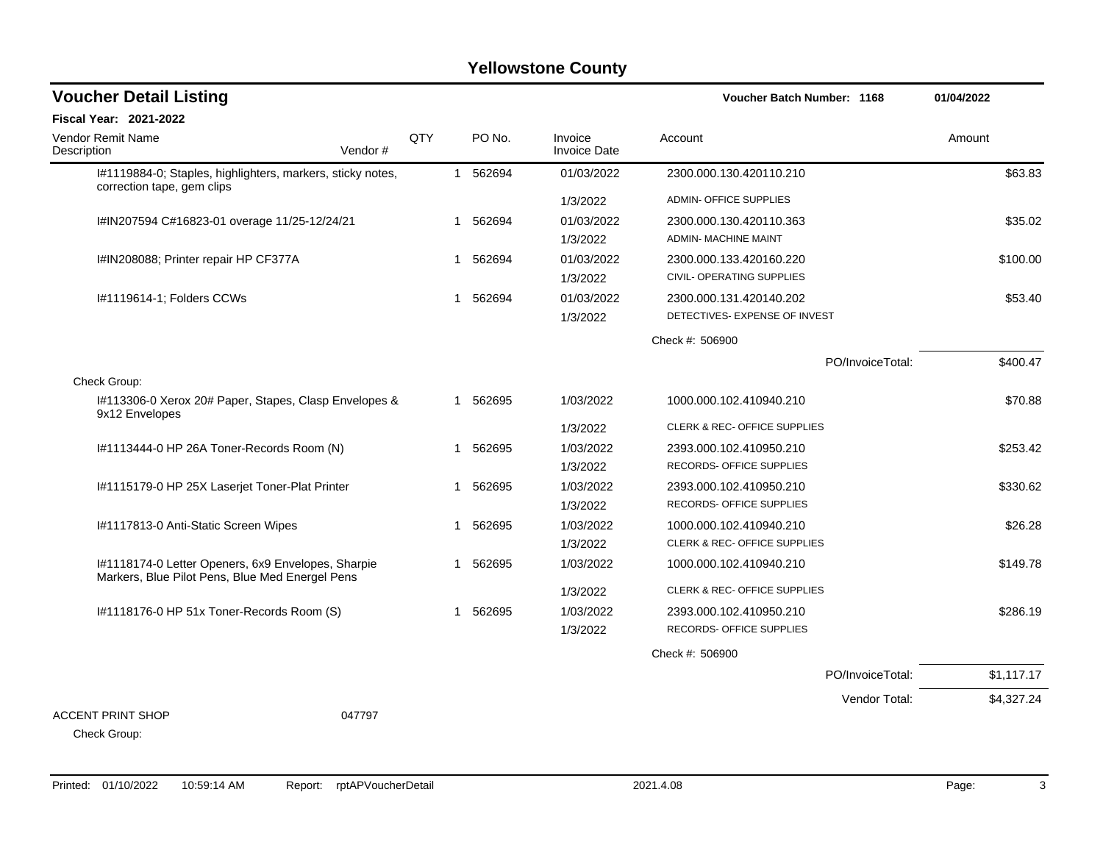| <b>Voucher Detail Listing</b>                                                                         |         |     |    |          |                                | Voucher Batch Number: 1168                               |                  | 01/04/2022 |
|-------------------------------------------------------------------------------------------------------|---------|-----|----|----------|--------------------------------|----------------------------------------------------------|------------------|------------|
| Fiscal Year: 2021-2022                                                                                |         |     |    |          |                                |                                                          |                  |            |
| Vendor Remit Name<br>Description                                                                      | Vendor# | QTY |    | PO No.   | Invoice<br><b>Invoice Date</b> | Account                                                  |                  | Amount     |
| I#1119884-0; Staples, highlighters, markers, sticky notes,<br>correction tape, gem clips              |         |     |    | 1 562694 | 01/03/2022                     | 2300.000.130.420110.210                                  |                  | \$63.83    |
|                                                                                                       |         |     |    |          | 1/3/2022                       | <b>ADMIN- OFFICE SUPPLIES</b>                            |                  |            |
| I#IN207594 C#16823-01 overage 11/25-12/24/21                                                          |         |     |    | 1 562694 | 01/03/2022<br>1/3/2022         | 2300.000.130.420110.363<br>ADMIN- MACHINE MAINT          |                  | \$35.02    |
| I#IN208088; Printer repair HP CF377A                                                                  |         |     | 1  | 562694   | 01/03/2022                     | 2300.000.133.420160.220<br>CIVIL- OPERATING SUPPLIES     |                  | \$100.00   |
|                                                                                                       |         |     |    |          | 1/3/2022                       |                                                          |                  |            |
| I#1119614-1; Folders CCWs                                                                             |         |     | -1 | 562694   | 01/03/2022<br>1/3/2022         | 2300.000.131.420140.202<br>DETECTIVES- EXPENSE OF INVEST |                  | \$53.40    |
|                                                                                                       |         |     |    |          |                                | Check #: 506900                                          |                  |            |
|                                                                                                       |         |     |    |          |                                |                                                          | PO/InvoiceTotal: | \$400.47   |
| Check Group:                                                                                          |         |     |    |          |                                |                                                          |                  |            |
| I#113306-0 Xerox 20# Paper, Stapes, Clasp Envelopes &<br>9x12 Envelopes                               |         |     | 1  | 562695   | 1/03/2022                      | 1000.000.102.410940.210                                  |                  | \$70.88    |
|                                                                                                       |         |     |    |          | 1/3/2022                       | CLERK & REC- OFFICE SUPPLIES                             |                  |            |
| I#1113444-0 HP 26A Toner-Records Room (N)                                                             |         |     | 1  | 562695   | 1/03/2022                      | 2393.000.102.410950.210                                  |                  | \$253.42   |
|                                                                                                       |         |     |    |          | 1/3/2022                       | RECORDS- OFFICE SUPPLIES                                 |                  |            |
| I#1115179-0 HP 25X Laserjet Toner-Plat Printer                                                        |         |     | 1  | 562695   | 1/03/2022<br>1/3/2022          | 2393.000.102.410950.210<br>RECORDS- OFFICE SUPPLIES      |                  | \$330.62   |
| I#1117813-0 Anti-Static Screen Wipes                                                                  |         |     | -1 | 562695   | 1/03/2022                      | 1000.000.102.410940.210                                  |                  | \$26.28    |
|                                                                                                       |         |     |    |          | 1/3/2022                       | <b>CLERK &amp; REC- OFFICE SUPPLIES</b>                  |                  |            |
| I#1118174-0 Letter Openers, 6x9 Envelopes, Sharpie<br>Markers, Blue Pilot Pens, Blue Med Energel Pens |         |     | 1  | 562695   | 1/03/2022                      | 1000.000.102.410940.210                                  |                  | \$149.78   |
|                                                                                                       |         |     |    |          | 1/3/2022                       | CLERK & REC- OFFICE SUPPLIES                             |                  |            |
| I#1118176-0 HP 51x Toner-Records Room (S)                                                             |         |     | -1 | 562695   | 1/03/2022                      | 2393.000.102.410950.210                                  |                  | \$286.19   |
|                                                                                                       |         |     |    |          | 1/3/2022                       | RECORDS- OFFICE SUPPLIES                                 |                  |            |
|                                                                                                       |         |     |    |          |                                | Check #: 506900                                          |                  |            |
|                                                                                                       |         |     |    |          |                                |                                                          | PO/InvoiceTotal: | \$1,117.17 |
|                                                                                                       |         |     |    |          |                                |                                                          | Vendor Total:    | \$4,327.24 |
| <b>ACCENT PRINT SHOP</b>                                                                              | 047797  |     |    |          |                                |                                                          |                  |            |
| Check Group:                                                                                          |         |     |    |          |                                |                                                          |                  |            |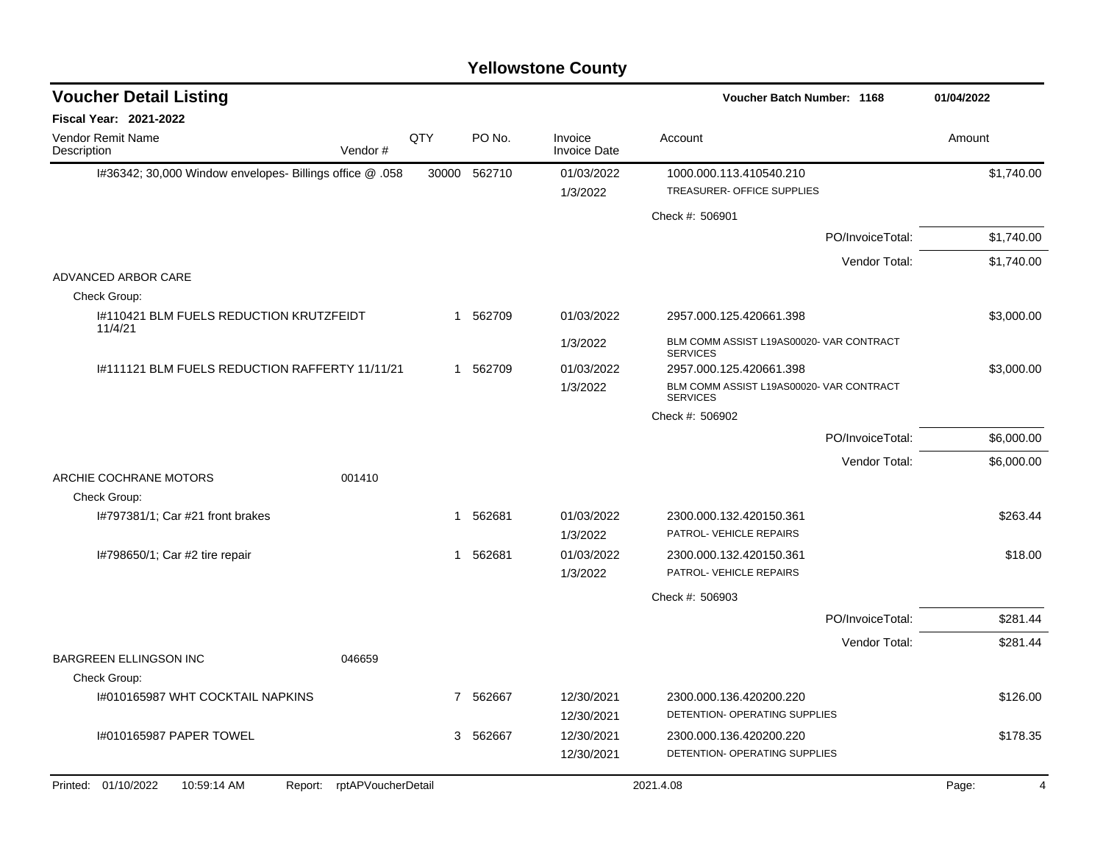| <b>Voucher Detail Listing</b>                                       |       |          |                                | Voucher Batch Number: 1168                                  | 01/04/2022 |
|---------------------------------------------------------------------|-------|----------|--------------------------------|-------------------------------------------------------------|------------|
| <b>Fiscal Year: 2021-2022</b>                                       |       |          |                                |                                                             |            |
| Vendor Remit Name<br>Description<br>Vendor#                         | QTY   | PO No.   | Invoice<br><b>Invoice Date</b> | Account                                                     | Amount     |
| I#36342; 30,000 Window envelopes- Billings office @ .058            | 30000 | 562710   | 01/03/2022                     | 1000.000.113.410540.210                                     | \$1,740.00 |
|                                                                     |       |          | 1/3/2022                       | TREASURER- OFFICE SUPPLIES                                  |            |
|                                                                     |       |          |                                | Check #: 506901                                             |            |
|                                                                     |       |          |                                | PO/InvoiceTotal:                                            | \$1,740.00 |
|                                                                     |       |          |                                | Vendor Total:                                               | \$1,740.00 |
| ADVANCED ARBOR CARE                                                 |       |          |                                |                                                             |            |
| Check Group:<br>1#110421 BLM FUELS REDUCTION KRUTZFEIDT<br>11/4/21  |       | 1 562709 | 01/03/2022                     | 2957.000.125.420661.398                                     | \$3,000.00 |
|                                                                     |       |          | 1/3/2022                       | BLM COMM ASSIST L19AS00020- VAR CONTRACT<br><b>SERVICES</b> |            |
| 1#111121 BLM FUELS REDUCTION RAFFERTY 11/11/21                      |       | 1 562709 | 01/03/2022                     | 2957.000.125.420661.398                                     | \$3,000.00 |
|                                                                     |       |          | 1/3/2022                       | BLM COMM ASSIST L19AS00020- VAR CONTRACT<br><b>SERVICES</b> |            |
|                                                                     |       |          |                                | Check #: 506902                                             |            |
|                                                                     |       |          |                                | PO/InvoiceTotal:                                            | \$6,000.00 |
|                                                                     |       |          |                                | Vendor Total:                                               | \$6,000.00 |
| ARCHIE COCHRANE MOTORS<br>001410<br>Check Group:                    |       |          |                                |                                                             |            |
| I#797381/1; Car #21 front brakes                                    | 1     | 562681   | 01/03/2022<br>1/3/2022         | 2300.000.132.420150.361<br>PATROL- VEHICLE REPAIRS          | \$263.44   |
| I#798650/1; Car #2 tire repair                                      | 1     | 562681   | 01/03/2022                     | 2300.000.132.420150.361                                     | \$18.00    |
|                                                                     |       |          | 1/3/2022                       | PATROL- VEHICLE REPAIRS                                     |            |
|                                                                     |       |          |                                | Check #: 506903                                             |            |
|                                                                     |       |          |                                | PO/InvoiceTotal:                                            | \$281.44   |
|                                                                     |       |          |                                | Vendor Total:                                               | \$281.44   |
| <b>BARGREEN ELLINGSON INC</b><br>046659                             |       |          |                                |                                                             |            |
| Check Group:                                                        |       |          |                                |                                                             |            |
| I#010165987 WHT COCKTAIL NAPKINS                                    |       | 7 562667 | 12/30/2021<br>12/30/2021       | 2300.000.136.420200.220<br>DETENTION- OPERATING SUPPLIES    | \$126.00   |
| 1#010165987 PAPER TOWEL                                             | 3     | 562667   | 12/30/2021                     | 2300.000.136.420200.220                                     | \$178.35   |
|                                                                     |       |          | 12/30/2021                     | DETENTION- OPERATING SUPPLIES                               |            |
| Printed: 01/10/2022<br>rptAPVoucherDetail<br>10:59:14 AM<br>Report: |       |          |                                | 2021.4.08                                                   | Page:<br>4 |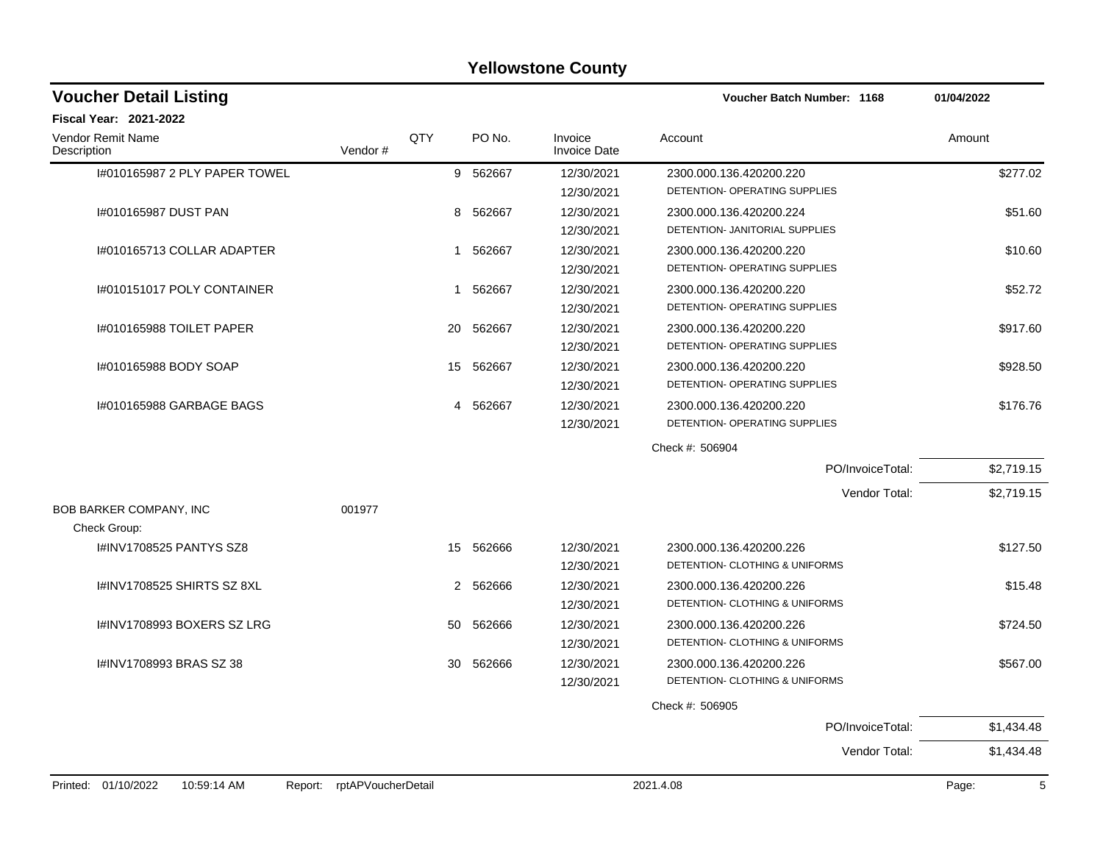| <b>Voucher Detail Listing</b>                 |                    |                |          |                                | Voucher Batch Number: 1168                                | 01/04/2022 |
|-----------------------------------------------|--------------------|----------------|----------|--------------------------------|-----------------------------------------------------------|------------|
| <b>Fiscal Year: 2021-2022</b>                 |                    |                |          |                                |                                                           |            |
| Vendor Remit Name<br>Description              | Vendor#            | QTY            | PO No.   | Invoice<br><b>Invoice Date</b> | Account                                                   | Amount     |
| 1#010165987 2 PLY PAPER TOWEL                 |                    |                | 9 562667 | 12/30/2021<br>12/30/2021       | 2300.000.136.420200.220<br>DETENTION- OPERATING SUPPLIES  | \$277.02   |
| 1#010165987 DUST PAN                          |                    | 8              | 562667   | 12/30/2021<br>12/30/2021       | 2300.000.136.420200.224<br>DETENTION- JANITORIAL SUPPLIES | \$51.60    |
| I#010165713 COLLAR ADAPTER                    |                    | 1              | 562667   | 12/30/2021<br>12/30/2021       | 2300.000.136.420200.220<br>DETENTION- OPERATING SUPPLIES  | \$10.60    |
| I#010151017 POLY CONTAINER                    |                    | 1              | 562667   | 12/30/2021<br>12/30/2021       | 2300.000.136.420200.220<br>DETENTION- OPERATING SUPPLIES  | \$52.72    |
| 1#010165988 TOILET PAPER                      |                    | 20             | 562667   | 12/30/2021<br>12/30/2021       | 2300.000.136.420200.220<br>DETENTION- OPERATING SUPPLIES  | \$917.60   |
| #010165988 BODY SOAP                          |                    | 15             | 562667   | 12/30/2021<br>12/30/2021       | 2300.000.136.420200.220<br>DETENTION- OPERATING SUPPLIES  | \$928.50   |
| 1#010165988 GARBAGE BAGS                      |                    | 4              | 562667   | 12/30/2021<br>12/30/2021       | 2300.000.136.420200.220<br>DETENTION- OPERATING SUPPLIES  | \$176.76   |
|                                               |                    |                |          |                                | Check #: 506904                                           |            |
|                                               |                    |                |          |                                | PO/InvoiceTotal:                                          | \$2,719.15 |
|                                               |                    |                |          |                                | Vendor Total:                                             | \$2,719.15 |
| BOB BARKER COMPANY, INC                       | 001977             |                |          |                                |                                                           |            |
| Check Group:                                  |                    |                |          |                                |                                                           |            |
| I#INV1708525 PANTYS SZ8                       |                    | 15             | 562666   | 12/30/2021<br>12/30/2021       | 2300.000.136.420200.226<br>DETENTION- CLOTHING & UNIFORMS | \$127.50   |
| I#INV1708525 SHIRTS SZ 8XL                    |                    | $\overline{2}$ | 562666   | 12/30/2021<br>12/30/2021       | 2300.000.136.420200.226<br>DETENTION- CLOTHING & UNIFORMS | \$15.48    |
| I#INV1708993 BOXERS SZ LRG                    |                    | 50             | 562666   | 12/30/2021<br>12/30/2021       | 2300.000.136.420200.226<br>DETENTION- CLOTHING & UNIFORMS | \$724.50   |
| I#INV1708993 BRAS SZ 38                       |                    | 30             | 562666   | 12/30/2021<br>12/30/2021       | 2300.000.136.420200.226<br>DETENTION- CLOTHING & UNIFORMS | \$567.00   |
|                                               |                    |                |          |                                | Check #: 506905                                           |            |
|                                               |                    |                |          |                                | PO/InvoiceTotal:                                          | \$1,434.48 |
|                                               |                    |                |          |                                | Vendor Total:                                             | \$1,434.48 |
| Printed: 01/10/2022<br>10:59:14 AM<br>Report: | rptAPVoucherDetail |                |          |                                | 2021.4.08                                                 | 5<br>Page: |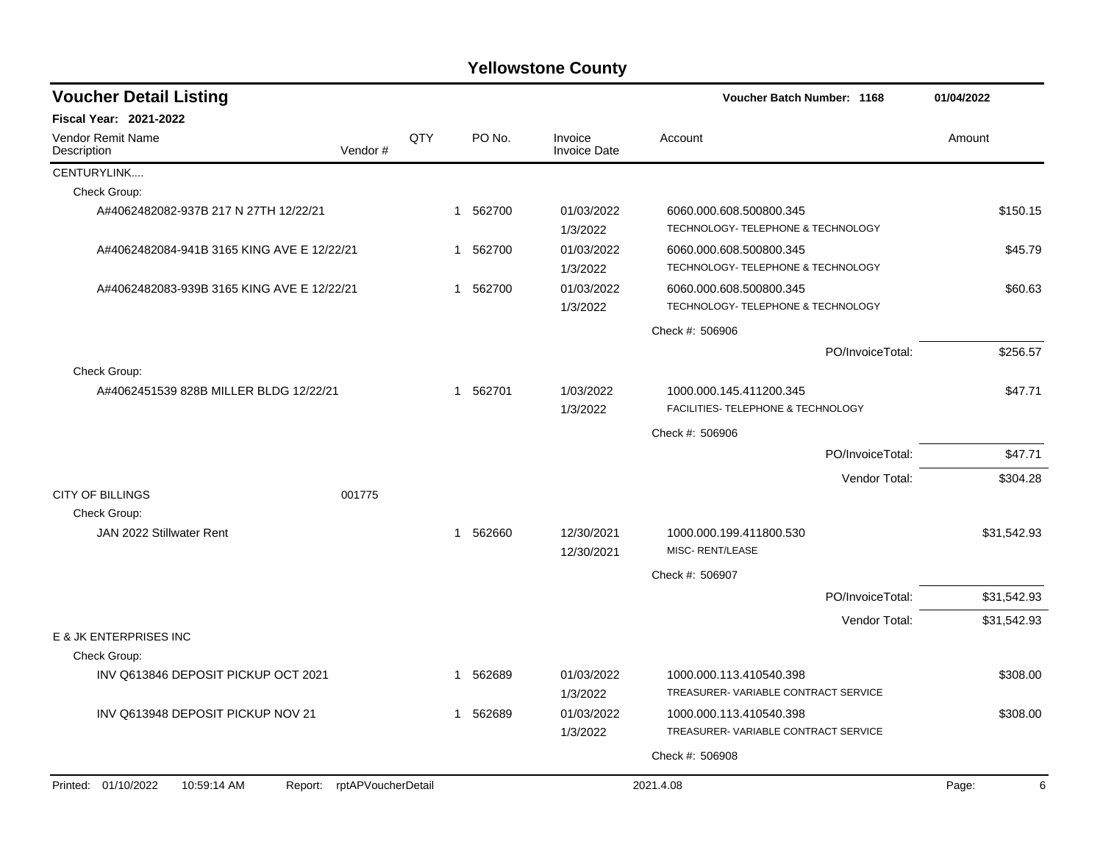| <b>Voucher Detail Listing</b>                          |                            |     |              |          |                                | Voucher Batch Number: 1168                                     |                  | 01/04/2022  |
|--------------------------------------------------------|----------------------------|-----|--------------|----------|--------------------------------|----------------------------------------------------------------|------------------|-------------|
| Fiscal Year: 2021-2022                                 |                            |     |              |          |                                |                                                                |                  |             |
| Vendor Remit Name<br>Description                       | Vendor#                    | QTY |              | PO No.   | Invoice<br><b>Invoice Date</b> | Account                                                        |                  | Amount      |
| CENTURYLINK                                            |                            |     |              |          |                                |                                                                |                  |             |
| Check Group:                                           |                            |     |              |          |                                |                                                                |                  |             |
| A#4062482082-937B 217 N 27TH 12/22/21                  |                            |     |              | 1 562700 | 01/03/2022<br>1/3/2022         | 6060.000.608.500800.345<br>TECHNOLOGY- TELEPHONE & TECHNOLOGY  |                  | \$150.15    |
| A#4062482084-941B 3165 KING AVE E 12/22/21             |                            |     |              | 1 562700 | 01/03/2022<br>1/3/2022         | 6060.000.608.500800.345<br>TECHNOLOGY- TELEPHONE & TECHNOLOGY  |                  | \$45.79     |
| A#4062482083-939B 3165 KING AVE E 12/22/21             |                            |     |              | 1 562700 | 01/03/2022<br>1/3/2022         | 6060.000.608.500800.345<br>TECHNOLOGY- TELEPHONE & TECHNOLOGY  |                  | \$60.63     |
|                                                        |                            |     |              |          |                                | Check #: 506906                                                |                  |             |
|                                                        |                            |     |              |          |                                |                                                                | PO/InvoiceTotal: | \$256.57    |
| Check Group:<br>A#4062451539 828B MILLER BLDG 12/22/21 |                            |     | $\mathbf{1}$ | 562701   | 1/03/2022<br>1/3/2022          | 1000.000.145.411200.345<br>FACILITIES- TELEPHONE & TECHNOLOGY  |                  | \$47.71     |
|                                                        |                            |     |              |          |                                | Check #: 506906                                                |                  |             |
|                                                        |                            |     |              |          |                                |                                                                | PO/InvoiceTotal: | \$47.71     |
|                                                        |                            |     |              |          |                                |                                                                | Vendor Total:    | \$304.28    |
| <b>CITY OF BILLINGS</b><br>Check Group:                | 001775                     |     |              |          |                                |                                                                |                  |             |
| JAN 2022 Stillwater Rent                               |                            |     |              | 1 562660 | 12/30/2021<br>12/30/2021       | 1000.000.199.411800.530<br>MISC-RENT/LEASE                     |                  | \$31,542.93 |
|                                                        |                            |     |              |          |                                | Check #: 506907                                                |                  |             |
|                                                        |                            |     |              |          |                                |                                                                | PO/InvoiceTotal: | \$31,542.93 |
|                                                        |                            |     |              |          |                                |                                                                | Vendor Total:    | \$31,542.93 |
| E & JK ENTERPRISES INC<br>Check Group:                 |                            |     |              |          |                                |                                                                |                  |             |
| INV Q613846 DEPOSIT PICKUP OCT 2021                    |                            |     | 1            | 562689   | 01/03/2022<br>1/3/2022         | 1000.000.113.410540.398<br>TREASURER-VARIABLE CONTRACT SERVICE |                  | \$308.00    |
| INV Q613948 DEPOSIT PICKUP NOV 21                      |                            |     | 1            | 562689   | 01/03/2022<br>1/3/2022         | 1000.000.113.410540.398<br>TREASURER-VARIABLE CONTRACT SERVICE |                  | \$308.00    |
|                                                        |                            |     |              |          |                                | Check #: 506908                                                |                  |             |
|                                                        |                            |     |              |          |                                |                                                                |                  |             |
| Printed: 01/10/2022<br>10:59:14 AM                     | Report: rptAPVoucherDetail |     |              |          |                                | 2021.4.08                                                      |                  | Page:<br>6  |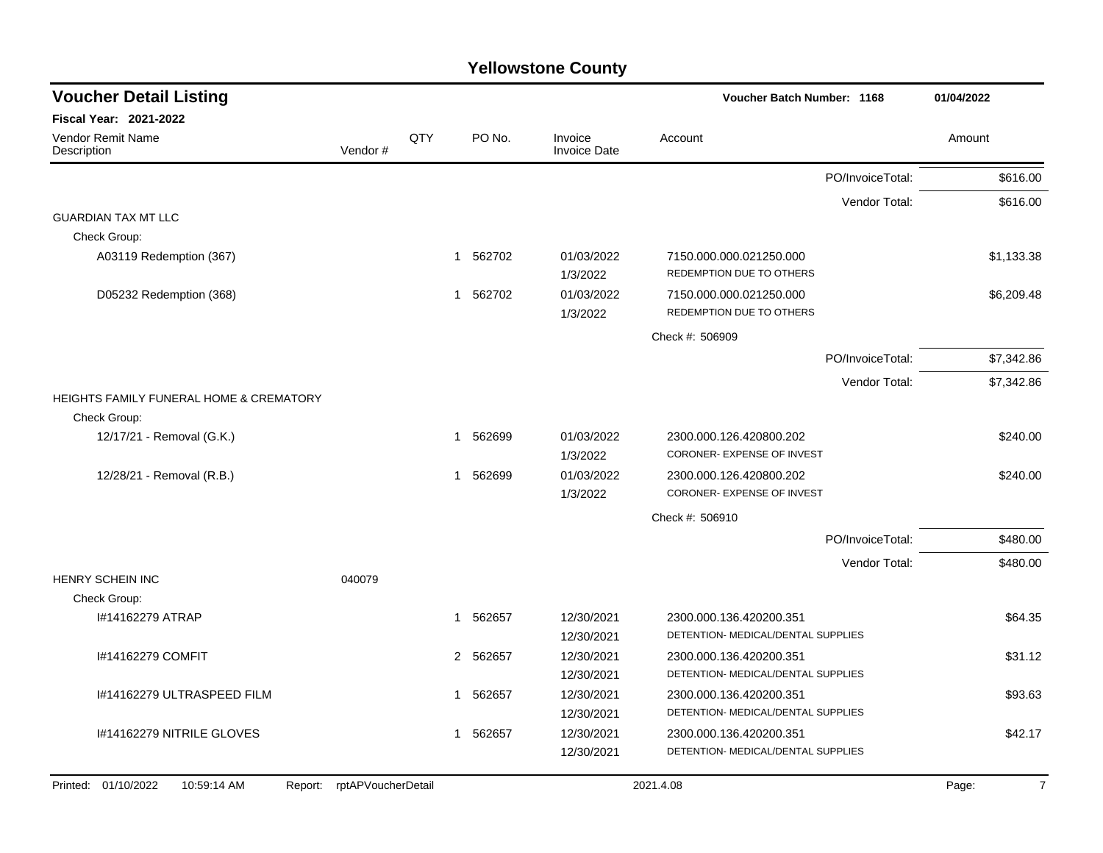| <b>Voucher Detail Listing</b>                      |                    |     |                        |                                | Voucher Batch Number: 1168                            |                  | 01/04/2022              |
|----------------------------------------------------|--------------------|-----|------------------------|--------------------------------|-------------------------------------------------------|------------------|-------------------------|
| Fiscal Year: 2021-2022                             |                    |     |                        |                                |                                                       |                  |                         |
| Vendor Remit Name<br>Description                   | Vendor#            | QTY | PO No.                 | Invoice<br><b>Invoice Date</b> | Account                                               |                  | Amount                  |
|                                                    |                    |     |                        |                                |                                                       | PO/InvoiceTotal: | \$616.00                |
|                                                    |                    |     |                        |                                |                                                       | Vendor Total:    | \$616.00                |
| <b>GUARDIAN TAX MT LLC</b>                         |                    |     |                        |                                |                                                       |                  |                         |
| Check Group:                                       |                    |     |                        |                                |                                                       |                  |                         |
| A03119 Redemption (367)                            |                    |     | 562702<br>1            | 01/03/2022<br>1/3/2022         | 7150.000.000.021250.000<br>REDEMPTION DUE TO OTHERS   |                  | \$1,133.38              |
| D05232 Redemption (368)                            |                    |     | 562702<br>$\mathbf{1}$ | 01/03/2022<br>1/3/2022         | 7150.000.000.021250.000<br>REDEMPTION DUE TO OTHERS   |                  | \$6,209.48              |
|                                                    |                    |     |                        |                                | Check #: 506909                                       |                  |                         |
|                                                    |                    |     |                        |                                |                                                       | PO/InvoiceTotal: | \$7,342.86              |
|                                                    |                    |     |                        |                                |                                                       | Vendor Total:    | \$7,342.86              |
| <b>HEIGHTS FAMILY FUNERAL HOME &amp; CREMATORY</b> |                    |     |                        |                                |                                                       |                  |                         |
| Check Group:                                       |                    |     |                        |                                |                                                       |                  |                         |
| 12/17/21 - Removal (G.K.)                          |                    |     | 1 562699               | 01/03/2022<br>1/3/2022         | 2300.000.126.420800.202<br>CORONER- EXPENSE OF INVEST |                  | \$240.00                |
| 12/28/21 - Removal (R.B.)                          |                    |     | 1 562699               | 01/03/2022<br>1/3/2022         | 2300.000.126.420800.202<br>CORONER- EXPENSE OF INVEST |                  | \$240.00                |
|                                                    |                    |     |                        |                                | Check #: 506910                                       |                  |                         |
|                                                    |                    |     |                        |                                |                                                       | PO/InvoiceTotal: | \$480.00                |
|                                                    |                    |     |                        |                                |                                                       | Vendor Total:    | \$480.00                |
| <b>HENRY SCHEIN INC</b>                            | 040079             |     |                        |                                |                                                       |                  |                         |
| Check Group:                                       |                    |     |                        |                                |                                                       |                  |                         |
| I#14162279 ATRAP                                   |                    |     | 1 562657               | 12/30/2021                     | 2300.000.136.420200.351                               |                  | \$64.35                 |
|                                                    |                    |     |                        | 12/30/2021                     | DETENTION- MEDICAL/DENTAL SUPPLIES                    |                  |                         |
| I#14162279 COMFIT                                  |                    |     | 2 562657               | 12/30/2021                     | 2300.000.136.420200.351                               |                  | \$31.12                 |
|                                                    |                    |     |                        | 12/30/2021                     | DETENTION- MEDICAL/DENTAL SUPPLIES                    |                  |                         |
| I#14162279 ULTRASPEED FILM                         |                    |     | 562657<br>1            | 12/30/2021                     | 2300.000.136.420200.351                               |                  | \$93.63                 |
|                                                    |                    |     |                        | 12/30/2021                     | DETENTION- MEDICAL/DENTAL SUPPLIES                    |                  |                         |
| I#14162279 NITRILE GLOVES                          |                    |     | 562657<br>$\mathbf 1$  | 12/30/2021                     | 2300.000.136.420200.351                               |                  | \$42.17                 |
|                                                    |                    |     |                        | 12/30/2021                     | DETENTION- MEDICAL/DENTAL SUPPLIES                    |                  |                         |
| Printed: 01/10/2022<br>10:59:14 AM<br>Report:      | rptAPVoucherDetail |     |                        |                                | 2021.4.08                                             |                  | Page:<br>$\overline{7}$ |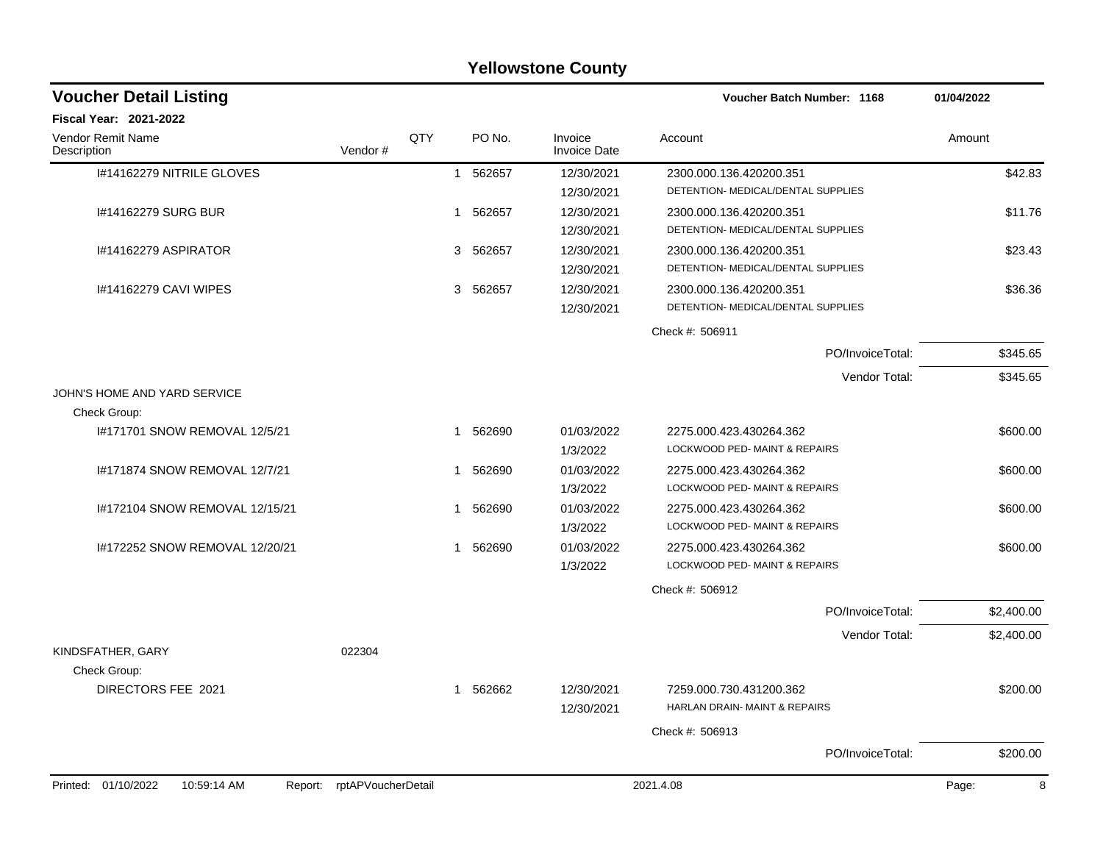| <b>Yellowstone County</b>                    |         |            |                        |                                |                                                               |            |  |  |  |  |  |
|----------------------------------------------|---------|------------|------------------------|--------------------------------|---------------------------------------------------------------|------------|--|--|--|--|--|
| <b>Voucher Detail Listing</b>                |         |            |                        |                                | <b>Voucher Batch Number: 1168</b>                             | 01/04/2022 |  |  |  |  |  |
| <b>Fiscal Year: 2021-2022</b>                |         |            |                        |                                |                                                               |            |  |  |  |  |  |
| <b>Vendor Remit Name</b><br>Description      | Vendor# | <b>QTY</b> | PO No.                 | Invoice<br><b>Invoice Date</b> | Account                                                       | Amount     |  |  |  |  |  |
| I#14162279 NITRILE GLOVES                    |         |            | 562657<br>$\mathbf{1}$ | 12/30/2021<br>12/30/2021       | 2300.000.136.420200.351<br>DETENTION- MEDICAL/DENTAL SUPPLIES | \$42.83    |  |  |  |  |  |
| #14162279 SURG BUR                           |         |            | 562657<br>1            | 12/30/2021<br>12/30/2021       | 2300.000.136.420200.351<br>DETENTION- MEDICAL/DENTAL SUPPLIES | \$11.76    |  |  |  |  |  |
| I#14162279 ASPIRATOR                         |         |            | 562657<br>3            | 12/30/2021<br>12/30/2021       | 2300.000.136.420200.351<br>DETENTION- MEDICAL/DENTAL SUPPLIES | \$23.43    |  |  |  |  |  |
| I#14162279 CAVI WIPES                        |         |            | 562657<br>3            | 12/30/2021<br>12/30/2021       | 2300.000.136.420200.351<br>DETENTION- MEDICAL/DENTAL SUPPLIES | \$36.36    |  |  |  |  |  |
|                                              |         |            |                        |                                | Check #: 506911                                               |            |  |  |  |  |  |
|                                              |         |            |                        |                                | PO/InvoiceTotal:                                              | \$345.65   |  |  |  |  |  |
|                                              |         |            |                        |                                | Vendor Total:                                                 | \$345.65   |  |  |  |  |  |
| JOHN'S HOME AND YARD SERVICE<br>Check Group: |         |            |                        |                                |                                                               |            |  |  |  |  |  |
| I#171701 SNOW REMOVAL 12/5/21                |         |            | 562690<br>1            | 01/03/2022<br>1/3/2022         | 2275.000.423.430264.362<br>LOCKWOOD PED- MAINT & REPAIRS      | \$600.00   |  |  |  |  |  |
| I#171874 SNOW REMOVAL 12/7/21                |         |            | 562690<br>1            | 01/03/2022<br>1/3/2022         | 2275.000.423.430264.362<br>LOCKWOOD PED- MAINT & REPAIRS      | \$600.00   |  |  |  |  |  |
| I#172104 SNOW REMOVAL 12/15/21               |         |            | 562690<br>1            | 01/03/2022<br>1/3/2022         | 2275.000.423.430264.362<br>LOCKWOOD PED- MAINT & REPAIRS      | \$600.00   |  |  |  |  |  |
| I#172252 SNOW REMOVAL 12/20/21               |         |            | 562690<br>1            | 01/03/2022<br>1/3/2022         | 2275.000.423.430264.362<br>LOCKWOOD PED-MAINT & REPAIRS       | \$600.00   |  |  |  |  |  |
|                                              |         |            |                        |                                | Check #: 506912                                               |            |  |  |  |  |  |
|                                              |         |            |                        |                                | PO/InvoiceTotal:                                              | \$2,400.00 |  |  |  |  |  |
| KINDSFATHER, GARY                            | 022304  |            |                        |                                | Vendor Total:                                                 | \$2,400.00 |  |  |  |  |  |
| Check Group:<br>DIRECTORS FEE 2021           |         |            | 562662<br>1            | 12/30/2021<br>12/30/2021       | 7259.000.730.431200.362<br>HARLAN DRAIN- MAINT & REPAIRS      | \$200.00   |  |  |  |  |  |
|                                              |         |            |                        |                                | Check #: 506913                                               |            |  |  |  |  |  |
|                                              |         |            |                        |                                | PO/InvoiceTotal:                                              | \$200.00   |  |  |  |  |  |

### Printed: 01/10/2022 10:59:14 AM Report: rptAPVoucherDetail 2021.4.08 2021.4.08 Page: Page: 8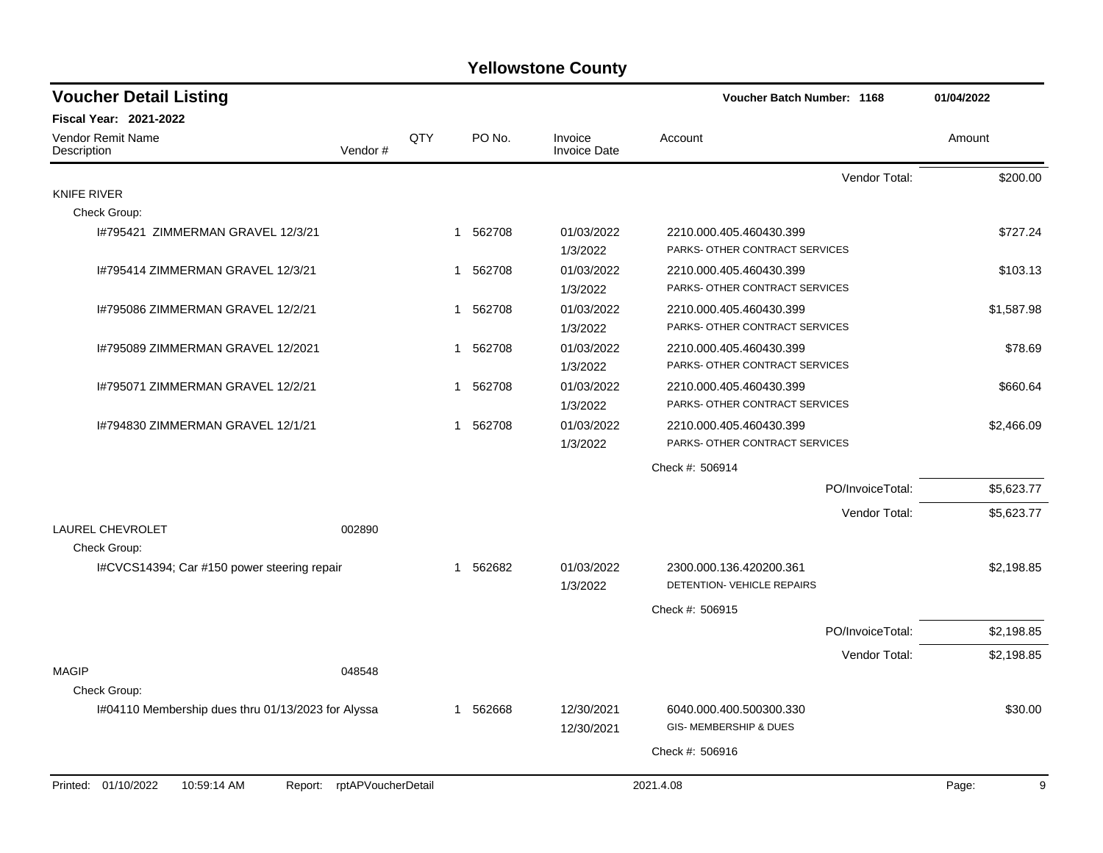| <b>Voucher Detail Listing</b>                      |                    |                |          |                                | <b>Voucher Batch Number: 1168</b>                         |                  | 01/04/2022 |
|----------------------------------------------------|--------------------|----------------|----------|--------------------------------|-----------------------------------------------------------|------------------|------------|
| <b>Fiscal Year: 2021-2022</b>                      |                    |                |          |                                |                                                           |                  |            |
| Vendor Remit Name<br>Description                   | Vendor#            | QTY            | PO No.   | Invoice<br><b>Invoice Date</b> | Account                                                   |                  | Amount     |
|                                                    |                    |                |          |                                |                                                           | Vendor Total:    | \$200.00   |
| KNIFE RIVER                                        |                    |                |          |                                |                                                           |                  |            |
| Check Group:                                       |                    |                |          |                                |                                                           |                  |            |
| I#795421 ZIMMERMAN GRAVEL 12/3/21                  |                    |                | 1 562708 | 01/03/2022<br>1/3/2022         | 2210.000.405.460430.399<br>PARKS- OTHER CONTRACT SERVICES |                  | \$727.24   |
| 1#795414 ZIMMERMAN GRAVEL 12/3/21                  |                    |                | 1 562708 | 01/03/2022<br>1/3/2022         | 2210.000.405.460430.399<br>PARKS- OTHER CONTRACT SERVICES |                  | \$103.13   |
| 1#795086 ZIMMERMAN GRAVEL 12/2/21                  |                    |                | 1 562708 | 01/03/2022<br>1/3/2022         | 2210.000.405.460430.399<br>PARKS- OTHER CONTRACT SERVICES |                  | \$1,587.98 |
| 1#795089 ZIMMERMAN GRAVEL 12/2021                  |                    |                | 1 562708 | 01/03/2022<br>1/3/2022         | 2210.000.405.460430.399<br>PARKS- OTHER CONTRACT SERVICES |                  | \$78.69    |
| 1#795071 ZIMMERMAN GRAVEL 12/2/21                  |                    | 1              | 562708   | 01/03/2022<br>1/3/2022         | 2210.000.405.460430.399<br>PARKS- OTHER CONTRACT SERVICES |                  | \$660.64   |
| 1#794830 ZIMMERMAN GRAVEL 12/1/21                  |                    | $\overline{1}$ | 562708   | 01/03/2022<br>1/3/2022         | 2210.000.405.460430.399<br>PARKS- OTHER CONTRACT SERVICES |                  | \$2,466.09 |
|                                                    |                    |                |          |                                | Check #: 506914                                           |                  |            |
|                                                    |                    |                |          |                                |                                                           | PO/InvoiceTotal: | \$5,623.77 |
|                                                    |                    |                |          |                                |                                                           | Vendor Total:    | \$5,623.77 |
| LAUREL CHEVROLET<br>Check Group:                   | 002890             |                |          |                                |                                                           |                  |            |
| I#CVCS14394; Car #150 power steering repair        |                    |                | 1 562682 | 01/03/2022<br>1/3/2022         | 2300.000.136.420200.361<br>DETENTION- VEHICLE REPAIRS     |                  | \$2,198.85 |
|                                                    |                    |                |          |                                | Check #: 506915                                           |                  |            |
|                                                    |                    |                |          |                                |                                                           | PO/InvoiceTotal: | \$2,198.85 |
| <b>MAGIP</b>                                       | 048548             |                |          |                                |                                                           | Vendor Total:    | \$2,198.85 |
| Check Group:                                       |                    |                |          |                                |                                                           |                  |            |
| I#04110 Membership dues thru 01/13/2023 for Alyssa |                    |                | 1 562668 | 12/30/2021<br>12/30/2021       | 6040.000.400.500300.330<br>GIS- MEMBERSHIP & DUES         |                  | \$30.00    |
|                                                    |                    |                |          |                                | Check #: 506916                                           |                  |            |
| Printed: 01/10/2022<br>10:59:14 AM<br>Report:      | rptAPVoucherDetail |                |          |                                | 2021.4.08                                                 |                  | 9<br>Page: |
|                                                    |                    |                |          |                                |                                                           |                  |            |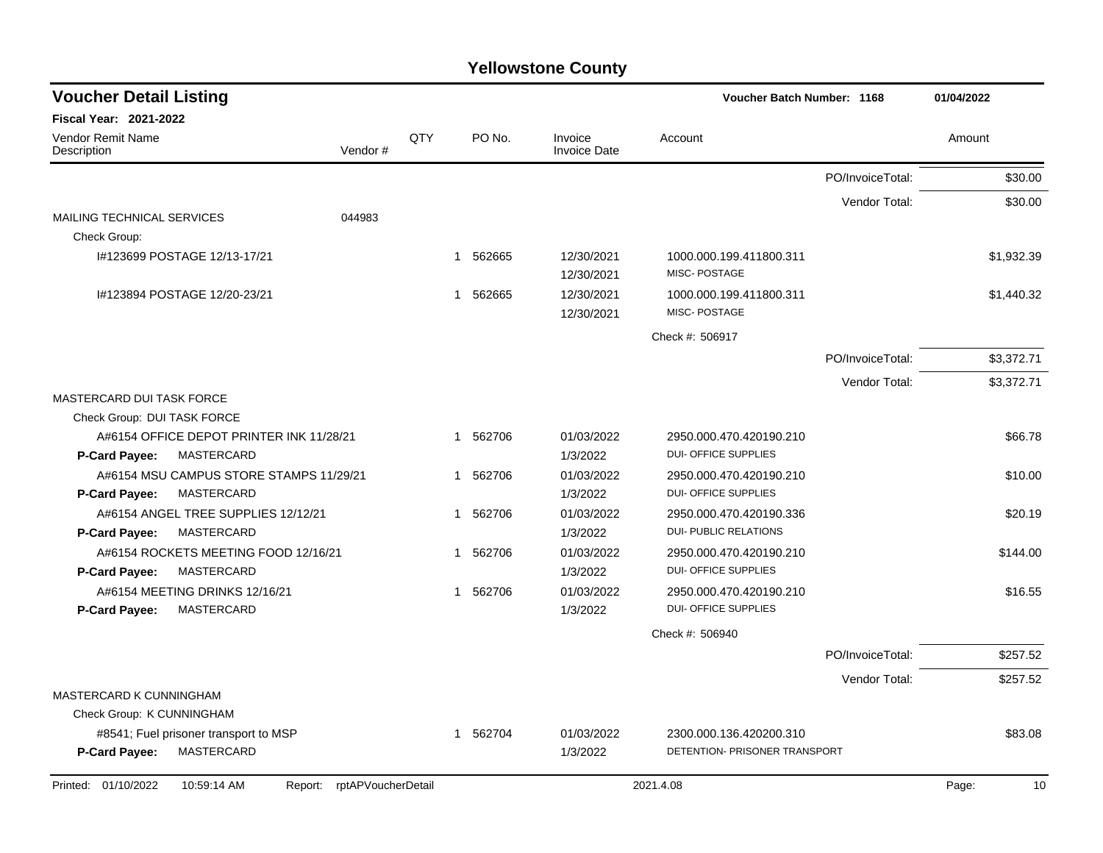| <b>Voucher Detail Listing</b>                                             |                               |     |             |                                | <b>Voucher Batch Number: 1168</b>                       |                  | 01/04/2022  |
|---------------------------------------------------------------------------|-------------------------------|-----|-------------|--------------------------------|---------------------------------------------------------|------------------|-------------|
| <b>Fiscal Year: 2021-2022</b>                                             |                               |     |             |                                |                                                         |                  |             |
| <b>Vendor Remit Name</b><br>Description                                   | Vendor#                       | QTY | PO No.      | Invoice<br><b>Invoice Date</b> | Account                                                 |                  | Amount      |
|                                                                           |                               |     |             |                                |                                                         | PO/InvoiceTotal: | \$30.00     |
|                                                                           |                               |     |             |                                |                                                         | Vendor Total:    | \$30.00     |
| <b>MAILING TECHNICAL SERVICES</b><br>Check Group:                         | 044983                        |     |             |                                |                                                         |                  |             |
| I#123699 POSTAGE 12/13-17/21                                              |                               |     | 562665<br>1 | 12/30/2021<br>12/30/2021       | 1000.000.199.411800.311<br>MISC-POSTAGE                 |                  | \$1,932.39  |
| I#123894 POSTAGE 12/20-23/21                                              |                               |     | 1 562665    | 12/30/2021<br>12/30/2021       | 1000.000.199.411800.311<br>MISC-POSTAGE                 |                  | \$1,440.32  |
|                                                                           |                               |     |             |                                | Check #: 506917                                         |                  |             |
|                                                                           |                               |     |             |                                |                                                         | PO/InvoiceTotal: | \$3,372.71  |
|                                                                           |                               |     |             |                                |                                                         | Vendor Total:    | \$3,372.71  |
| MASTERCARD DUI TASK FORCE                                                 |                               |     |             |                                |                                                         |                  |             |
| Check Group: DUI TASK FORCE                                               |                               |     |             |                                |                                                         |                  |             |
| A#6154 OFFICE DEPOT PRINTER INK 11/28/21                                  |                               |     | 1 562706    | 01/03/2022                     | 2950.000.470.420190.210                                 |                  | \$66.78     |
| P-Card Payee:<br>MASTERCARD                                               |                               |     |             | 1/3/2022                       | <b>DUI- OFFICE SUPPLIES</b>                             |                  |             |
| A#6154 MSU CAMPUS STORE STAMPS 11/29/21                                   |                               |     | 1 562706    | 01/03/2022                     | 2950.000.470.420190.210                                 |                  | \$10.00     |
| <b>MASTERCARD</b><br>P-Card Payee:                                        |                               |     |             | 1/3/2022                       | <b>DUI- OFFICE SUPPLIES</b>                             |                  |             |
| A#6154 ANGEL TREE SUPPLIES 12/12/21<br>MASTERCARD<br><b>P-Card Payee:</b> |                               |     | 562706<br>1 | 01/03/2022<br>1/3/2022         | 2950.000.470.420190.336<br><b>DUI- PUBLIC RELATIONS</b> |                  | \$20.19     |
| A#6154 ROCKETS MEETING FOOD 12/16/21<br>MASTERCARD<br>P-Card Payee:       |                               |     | 562706<br>1 | 01/03/2022<br>1/3/2022         | 2950.000.470.420190.210<br><b>DUI- OFFICE SUPPLIES</b>  |                  | \$144.00    |
| A#6154 MEETING DRINKS 12/16/21                                            |                               |     | 1 562706    | 01/03/2022                     | 2950.000.470.420190.210                                 |                  | \$16.55     |
| MASTERCARD<br>P-Card Payee:                                               |                               |     |             | 1/3/2022                       | <b>DUI- OFFICE SUPPLIES</b>                             |                  |             |
|                                                                           |                               |     |             |                                | Check #: 506940                                         |                  |             |
|                                                                           |                               |     |             |                                |                                                         | PO/InvoiceTotal: | \$257.52    |
|                                                                           |                               |     |             |                                |                                                         | Vendor Total:    | \$257.52    |
| MASTERCARD K CUNNINGHAM                                                   |                               |     |             |                                |                                                         |                  |             |
| Check Group: K CUNNINGHAM                                                 |                               |     |             |                                |                                                         |                  |             |
| #8541; Fuel prisoner transport to MSP                                     |                               |     | 1 562704    | 01/03/2022                     | 2300.000.136.420200.310                                 |                  | \$83.08     |
| MASTERCARD<br><b>P-Card Payee:</b>                                        |                               |     |             | 1/3/2022                       | DETENTION- PRISONER TRANSPORT                           |                  |             |
| Printed: 01/10/2022<br>10:59:14 AM                                        | rptAPVoucherDetail<br>Report: |     |             |                                | 2021.4.08                                               |                  | 10<br>Page: |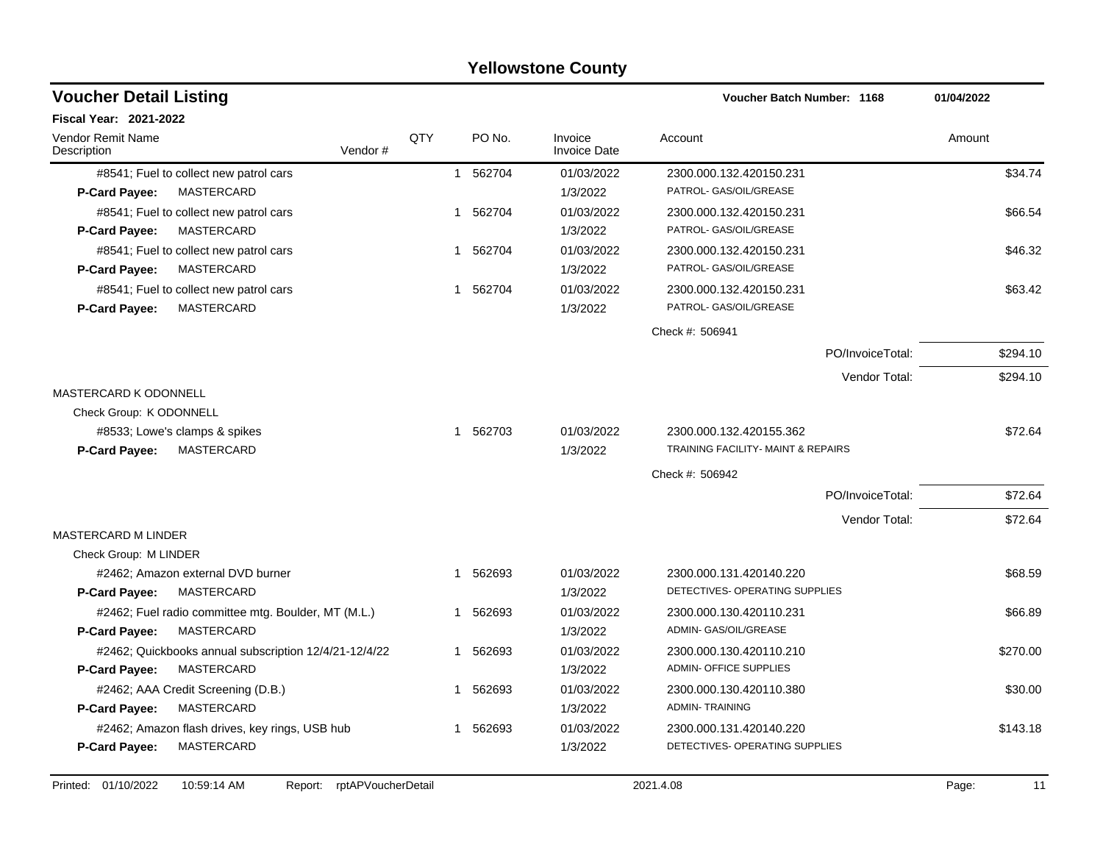|                                                       |     |                        | <b>Yellowstone County</b>      |                                    |            |
|-------------------------------------------------------|-----|------------------------|--------------------------------|------------------------------------|------------|
| <b>Voucher Detail Listing</b>                         |     |                        |                                | Voucher Batch Number: 1168         | 01/04/2022 |
| <b>Fiscal Year: 2021-2022</b>                         |     |                        |                                |                                    |            |
| Vendor Remit Name<br>Vendor#<br>Description           | QTY | PO No.                 | Invoice<br><b>Invoice Date</b> | Account                            | Amount     |
| #8541; Fuel to collect new patrol cars                |     | 562704<br>$\mathbf{1}$ | 01/03/2022                     | 2300.000.132.420150.231            | \$34.74    |
| <b>MASTERCARD</b><br><b>P-Card Payee:</b>             |     |                        | 1/3/2022                       | PATROL- GAS/OIL/GREASE             |            |
| #8541; Fuel to collect new patrol cars                | 1   | 562704                 | 01/03/2022                     | 2300.000.132.420150.231            | \$66.54    |
| MASTERCARD<br><b>P-Card Payee:</b>                    |     |                        | 1/3/2022                       | PATROL- GAS/OIL/GREASE             |            |
| #8541; Fuel to collect new patrol cars                |     | 562704<br>1            | 01/03/2022                     | 2300.000.132.420150.231            | \$46.32    |
| <b>MASTERCARD</b><br><b>P-Card Payee:</b>             |     |                        | 1/3/2022                       | PATROL- GAS/OIL/GREASE             |            |
| #8541; Fuel to collect new patrol cars                |     | 562704<br>$\mathbf 1$  | 01/03/2022                     | 2300.000.132.420150.231            | \$63.42    |
| MASTERCARD<br><b>P-Card Payee:</b>                    |     |                        | 1/3/2022                       | PATROL- GAS/OIL/GREASE             |            |
|                                                       |     |                        |                                | Check #: 506941                    |            |
|                                                       |     |                        |                                | PO/InvoiceTotal:                   | \$294.10   |
|                                                       |     |                        |                                | Vendor Total:                      | \$294.10   |
| <b>MASTERCARD K ODONNELL</b>                          |     |                        |                                |                                    |            |
| Check Group: K ODONNELL                               |     |                        |                                |                                    |            |
| #8533; Lowe's clamps & spikes                         |     | 1 562703               | 01/03/2022                     | 2300.000.132.420155.362            | \$72.64    |
| MASTERCARD<br><b>P-Card Payee:</b>                    |     |                        | 1/3/2022                       | TRAINING FACILITY- MAINT & REPAIRS |            |
|                                                       |     |                        |                                | Check #: 506942                    |            |
|                                                       |     |                        |                                | PO/InvoiceTotal:                   | \$72.64    |
|                                                       |     |                        |                                | Vendor Total:                      | \$72.64    |
| <b>MASTERCARD M LINDER</b>                            |     |                        |                                |                                    |            |
| Check Group: M LINDER                                 |     |                        |                                |                                    |            |
| #2462; Amazon external DVD burner                     |     | 562693<br>$\mathbf 1$  | 01/03/2022                     | 2300.000.131.420140.220            | \$68.59    |
| <b>MASTERCARD</b><br><b>P-Card Payee:</b>             |     |                        | 1/3/2022                       | DETECTIVES- OPERATING SUPPLIES     |            |
| #2462; Fuel radio committee mtg. Boulder, MT (M.L.)   |     | 562693<br>1            | 01/03/2022                     | 2300.000.130.420110.231            | \$66.89    |
| MASTERCARD<br><b>P-Card Payee:</b>                    |     |                        | 1/3/2022                       | ADMIN- GAS/OIL/GREASE              |            |
| #2462; Quickbooks annual subscription 12/4/21-12/4/22 |     | 562693<br>1            | 01/03/2022                     | 2300.000.130.420110.210            | \$270.00   |
| <b>P-Card Payee:</b><br>MASTERCARD                    |     |                        | 1/3/2022                       | <b>ADMIN- OFFICE SUPPLIES</b>      |            |
| #2462; AAA Credit Screening (D.B.)                    | 1   | 562693                 | 01/03/2022                     | 2300.000.130.420110.380            | \$30.00    |
| P-Card Payee:<br>MASTERCARD                           |     |                        | 1/3/2022                       | <b>ADMIN-TRAINING</b>              |            |
| #2462; Amazon flash drives, key rings, USB hub        | 1   | 562693                 | 01/03/2022                     | 2300.000.131.420140.220            | \$143.18   |
| <b>MASTERCARD</b><br><b>P-Card Payee:</b>             |     |                        | 1/3/2022                       | DETECTIVES- OPERATING SUPPLIES     |            |
|                                                       |     |                        |                                |                                    |            |

### Printed: 01/10/2022 10:59:14 AM Report: rptAPVoucherDetail 2021.4.08 2021.4.08 Page: 11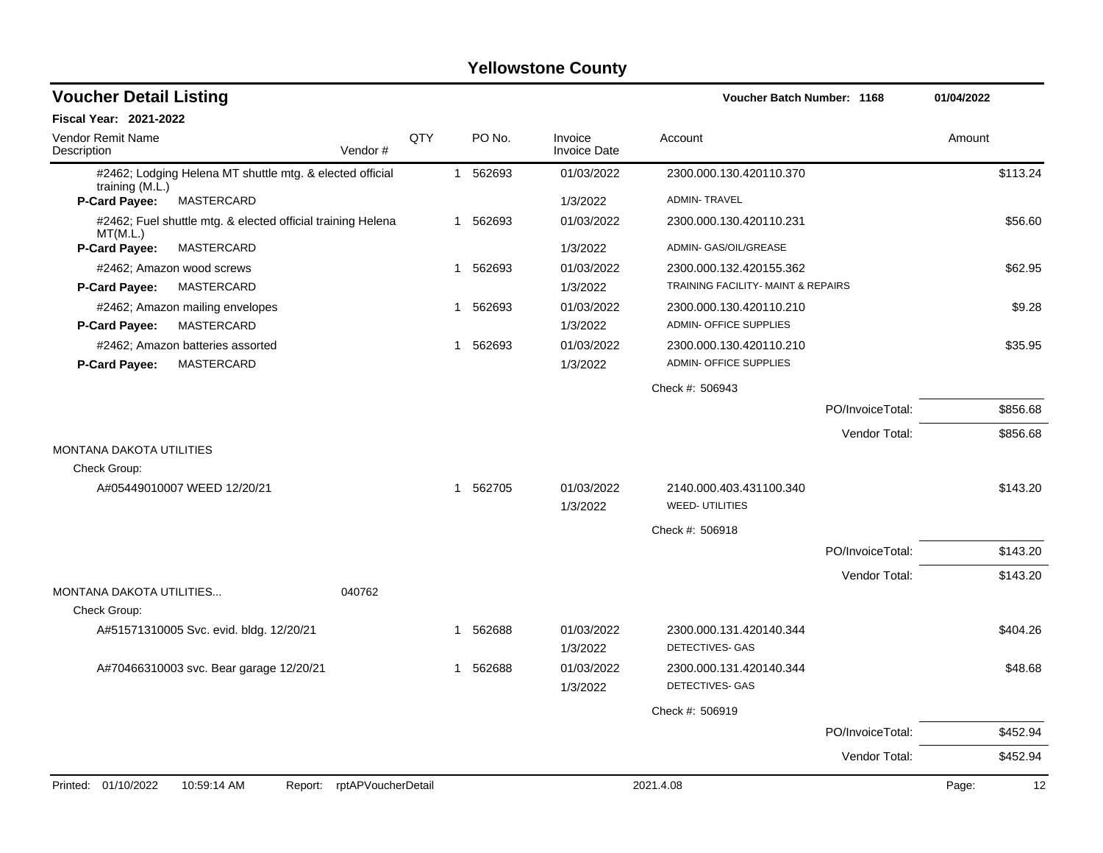| <b>Voucher Detail Listing</b>                                                 |                    |     |              |          |                                | Voucher Batch Number: 1168                               |                  | 01/04/2022  |
|-------------------------------------------------------------------------------|--------------------|-----|--------------|----------|--------------------------------|----------------------------------------------------------|------------------|-------------|
| Fiscal Year: 2021-2022                                                        |                    |     |              |          |                                |                                                          |                  |             |
| Vendor Remit Name<br>Description                                              | Vendor#            | QTY |              | PO No.   | Invoice<br><b>Invoice Date</b> | Account                                                  |                  | Amount      |
| #2462; Lodging Helena MT shuttle mtg. & elected official<br>training $(M.L.)$ |                    |     |              | 1 562693 | 01/03/2022                     | 2300.000.130.420110.370                                  |                  | \$113.24    |
| P-Card Payee:<br><b>MASTERCARD</b>                                            |                    |     |              |          | 1/3/2022                       | <b>ADMIN-TRAVEL</b>                                      |                  |             |
| #2462; Fuel shuttle mtg. & elected official training Helena<br>MT(M.L.)       |                    |     |              | 1 562693 | 01/03/2022                     | 2300.000.130.420110.231                                  |                  | \$56.60     |
| P-Card Payee:<br>MASTERCARD                                                   |                    |     |              |          | 1/3/2022                       | ADMIN- GAS/OIL/GREASE                                    |                  |             |
| #2462; Amazon wood screws                                                     |                    |     | $\mathbf{1}$ | 562693   | 01/03/2022                     | 2300.000.132.420155.362                                  |                  | \$62.95     |
| <b>P-Card Payee:</b><br><b>MASTERCARD</b>                                     |                    |     |              |          | 1/3/2022                       | TRAINING FACILITY- MAINT & REPAIRS                       |                  |             |
| #2462; Amazon mailing envelopes                                               |                    |     | 1            | 562693   | 01/03/2022                     | 2300.000.130.420110.210                                  |                  | \$9.28      |
| P-Card Payee:<br><b>MASTERCARD</b>                                            |                    |     |              |          | 1/3/2022                       | ADMIN- OFFICE SUPPLIES                                   |                  |             |
| #2462; Amazon batteries assorted<br>MASTERCARD<br><b>P-Card Payee:</b>        |                    |     | 1            | 562693   | 01/03/2022<br>1/3/2022         | 2300.000.130.420110.210<br><b>ADMIN- OFFICE SUPPLIES</b> |                  | \$35.95     |
|                                                                               |                    |     |              |          |                                | Check #: 506943                                          |                  |             |
|                                                                               |                    |     |              |          |                                |                                                          | PO/InvoiceTotal: | \$856.68    |
|                                                                               |                    |     |              |          |                                |                                                          | Vendor Total:    | \$856.68    |
| <b>MONTANA DAKOTA UTILITIES</b><br>Check Group:                               |                    |     |              |          |                                |                                                          |                  |             |
| A#05449010007 WEED 12/20/21                                                   |                    |     |              | 1 562705 | 01/03/2022                     | 2140.000.403.431100.340                                  |                  | \$143.20    |
|                                                                               |                    |     |              |          | 1/3/2022                       | <b>WEED-UTILITIES</b>                                    |                  |             |
|                                                                               |                    |     |              |          |                                | Check #: 506918                                          |                  |             |
|                                                                               |                    |     |              |          |                                |                                                          | PO/InvoiceTotal: | \$143.20    |
| MONTANA DAKOTA UTILITIES                                                      | 040762             |     |              |          |                                |                                                          | Vendor Total:    | \$143.20    |
| Check Group:                                                                  |                    |     |              |          |                                |                                                          |                  |             |
| A#51571310005 Svc. evid. bldg. 12/20/21                                       |                    |     | 1            | 562688   | 01/03/2022<br>1/3/2022         | 2300.000.131.420140.344<br>DETECTIVES- GAS               |                  | \$404.26    |
| A#70466310003 svc. Bear garage 12/20/21                                       |                    |     | 1            | 562688   | 01/03/2022                     | 2300.000.131.420140.344                                  |                  | \$48.68     |
|                                                                               |                    |     |              |          | 1/3/2022                       | <b>DETECTIVES- GAS</b>                                   |                  |             |
|                                                                               |                    |     |              |          |                                | Check #: 506919                                          |                  |             |
|                                                                               |                    |     |              |          |                                |                                                          | PO/InvoiceTotal: | \$452.94    |
|                                                                               |                    |     |              |          |                                |                                                          | Vendor Total:    | \$452.94    |
| Printed: 01/10/2022<br>10:59:14 AM<br>Report:                                 | rptAPVoucherDetail |     |              |          |                                | 2021.4.08                                                |                  | 12<br>Page: |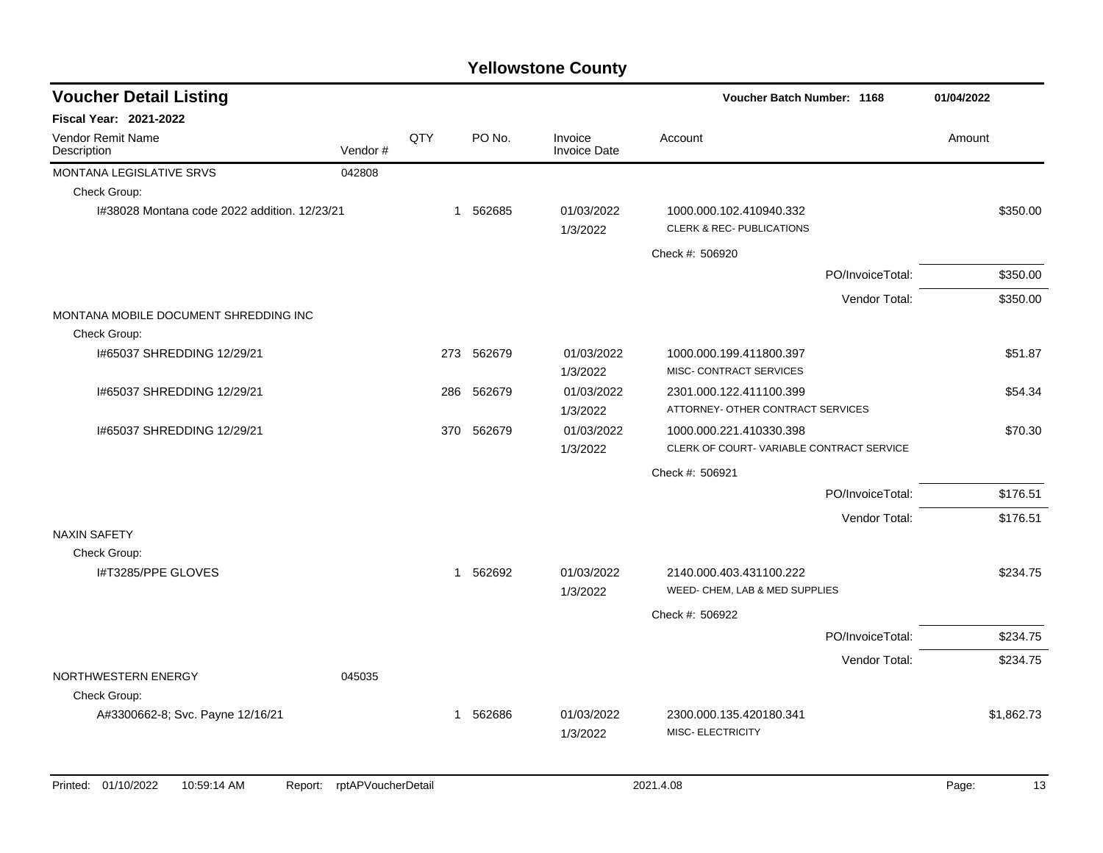| <b>Voucher Detail Listing</b>                |         |              |            |                                | <b>Voucher Batch Number: 1168</b>                                   |                  | 01/04/2022 |
|----------------------------------------------|---------|--------------|------------|--------------------------------|---------------------------------------------------------------------|------------------|------------|
| Fiscal Year: 2021-2022                       |         |              |            |                                |                                                                     |                  |            |
| <b>Vendor Remit Name</b><br>Description      | Vendor# | QTY          | PO No.     | Invoice<br><b>Invoice Date</b> | Account                                                             |                  | Amount     |
| MONTANA LEGISLATIVE SRVS                     | 042808  |              |            |                                |                                                                     |                  |            |
| Check Group:                                 |         |              |            |                                |                                                                     |                  |            |
| I#38028 Montana code 2022 addition. 12/23/21 |         |              | 1 562685   | 01/03/2022<br>1/3/2022         | 1000.000.102.410940.332<br><b>CLERK &amp; REC- PUBLICATIONS</b>     |                  | \$350.00   |
|                                              |         |              |            |                                | Check #: 506920                                                     |                  |            |
|                                              |         |              |            |                                |                                                                     | PO/InvoiceTotal: | \$350.00   |
|                                              |         |              |            |                                |                                                                     | Vendor Total:    | \$350.00   |
| MONTANA MOBILE DOCUMENT SHREDDING INC        |         |              |            |                                |                                                                     |                  |            |
| Check Group:                                 |         |              |            |                                |                                                                     |                  |            |
| 1#65037 SHREDDING 12/29/21                   |         |              | 273 562679 | 01/03/2022<br>1/3/2022         | 1000.000.199.411800.397<br>MISC- CONTRACT SERVICES                  |                  | \$51.87    |
| 1#65037 SHREDDING 12/29/21                   |         | 286          | 562679     | 01/03/2022<br>1/3/2022         | 2301.000.122.411100.399<br>ATTORNEY- OTHER CONTRACT SERVICES        |                  | \$54.34    |
| I#65037 SHREDDING 12/29/21                   |         | 370          | 562679     | 01/03/2022<br>1/3/2022         | 1000.000.221.410330.398<br>CLERK OF COURT-VARIABLE CONTRACT SERVICE |                  | \$70.30    |
|                                              |         |              |            |                                | Check #: 506921                                                     |                  |            |
|                                              |         |              |            |                                |                                                                     | PO/InvoiceTotal: | \$176.51   |
|                                              |         |              |            |                                |                                                                     | Vendor Total:    | \$176.51   |
| <b>NAXIN SAFETY</b>                          |         |              |            |                                |                                                                     |                  |            |
| Check Group:                                 |         |              |            |                                |                                                                     |                  |            |
| I#T3285/PPE GLOVES                           |         | $\mathbf{1}$ | 562692     | 01/03/2022                     | 2140.000.403.431100.222                                             |                  | \$234.75   |
|                                              |         |              |            | 1/3/2022                       | WEED- CHEM, LAB & MED SUPPLIES                                      |                  |            |
|                                              |         |              |            |                                | Check #: 506922                                                     |                  |            |
|                                              |         |              |            |                                |                                                                     | PO/InvoiceTotal: | \$234.75   |
| NORTHWESTERN ENERGY                          | 045035  |              |            |                                |                                                                     | Vendor Total:    | \$234.75   |
| Check Group:                                 |         |              |            |                                |                                                                     |                  |            |
| A#3300662-8; Svc. Payne 12/16/21             |         |              | 1 562686   | 01/03/2022<br>1/3/2022         | 2300.000.135.420180.341<br>MISC- ELECTRICITY                        |                  | \$1,862.73 |
|                                              |         |              |            |                                |                                                                     |                  |            |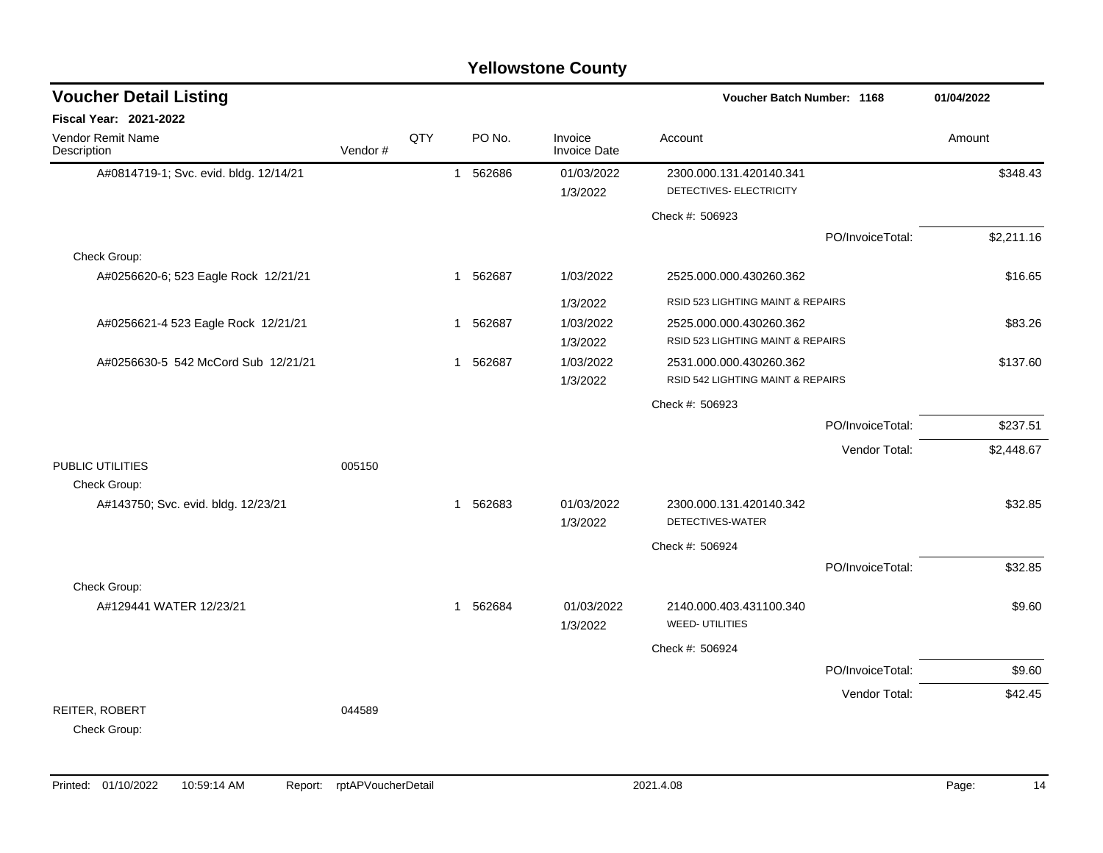|                                                     |         |     |              |          | <b>Yellowstone County</b> |                                                    |                  |            |
|-----------------------------------------------------|---------|-----|--------------|----------|---------------------------|----------------------------------------------------|------------------|------------|
| <b>Voucher Detail Listing</b>                       |         |     |              |          |                           | Voucher Batch Number: 1168                         |                  | 01/04/2022 |
| Fiscal Year: 2021-2022                              |         |     |              |          |                           |                                                    |                  |            |
| <b>Vendor Remit Name</b><br>Description             | Vendor# | QTY |              | PO No.   | Invoice<br>Invoice Date   | Account                                            |                  | Amount     |
| A#0814719-1; Svc. evid. bldg. 12/14/21              |         |     |              | 1 562686 | 01/03/2022<br>1/3/2022    | 2300.000.131.420140.341<br>DETECTIVES- ELECTRICITY |                  | \$348.43   |
|                                                     |         |     |              |          |                           | Check #: 506923                                    |                  |            |
|                                                     |         |     |              |          |                           |                                                    | PO/InvoiceTotal: | \$2,211.16 |
| Check Group:                                        |         |     |              |          |                           |                                                    |                  |            |
| A#0256620-6; 523 Eagle Rock 12/21/21                |         |     |              | 1 562687 | 1/03/2022                 | 2525.000.000.430260.362                            |                  | \$16.65    |
|                                                     |         |     |              |          | 1/3/2022                  | RSID 523 LIGHTING MAINT & REPAIRS                  |                  |            |
| A#0256621-4 523 Eagle Rock 12/21/21                 |         |     |              | 1 562687 | 1/03/2022                 | 2525.000.000.430260.362                            |                  | \$83.26    |
|                                                     |         |     |              |          | 1/3/2022                  | RSID 523 LIGHTING MAINT & REPAIRS                  |                  |            |
| A#0256630-5 542 McCord Sub 12/21/21                 |         |     | 1            | 562687   | 1/03/2022                 | 2531.000.000.430260.362                            |                  | \$137.60   |
|                                                     |         |     |              |          | 1/3/2022                  | RSID 542 LIGHTING MAINT & REPAIRS                  |                  |            |
|                                                     |         |     |              |          |                           | Check #: 506923                                    |                  |            |
|                                                     |         |     |              |          |                           |                                                    | PO/InvoiceTotal: | \$237.51   |
|                                                     |         |     |              |          |                           |                                                    | Vendor Total:    | \$2,448.67 |
| PUBLIC UTILITIES                                    | 005150  |     |              |          |                           |                                                    |                  |            |
| Check Group:<br>A#143750; Svc. evid. bldg. 12/23/21 |         |     | 1            | 562683   | 01/03/2022                | 2300.000.131.420140.342                            |                  | \$32.85    |
|                                                     |         |     |              |          | 1/3/2022                  | DETECTIVES-WATER                                   |                  |            |
|                                                     |         |     |              |          |                           | Check #: 506924                                    |                  |            |
|                                                     |         |     |              |          |                           |                                                    | PO/InvoiceTotal: | \$32.85    |
| Check Group:                                        |         |     |              |          |                           |                                                    |                  |            |
| A#129441 WATER 12/23/21                             |         |     | $\mathbf{1}$ | 562684   | 01/03/2022                | 2140.000.403.431100.340                            |                  | \$9.60     |
|                                                     |         |     |              |          | 1/3/2022                  | <b>WEED-UTILITIES</b>                              |                  |            |
|                                                     |         |     |              |          |                           | Check #: 506924                                    |                  |            |
|                                                     |         |     |              |          |                           |                                                    | PO/InvoiceTotal: | \$9.60     |
|                                                     |         |     |              |          |                           |                                                    | Vendor Total:    | \$42.45    |
| REITER, ROBERT<br>Check Group:                      | 044589  |     |              |          |                           |                                                    |                  |            |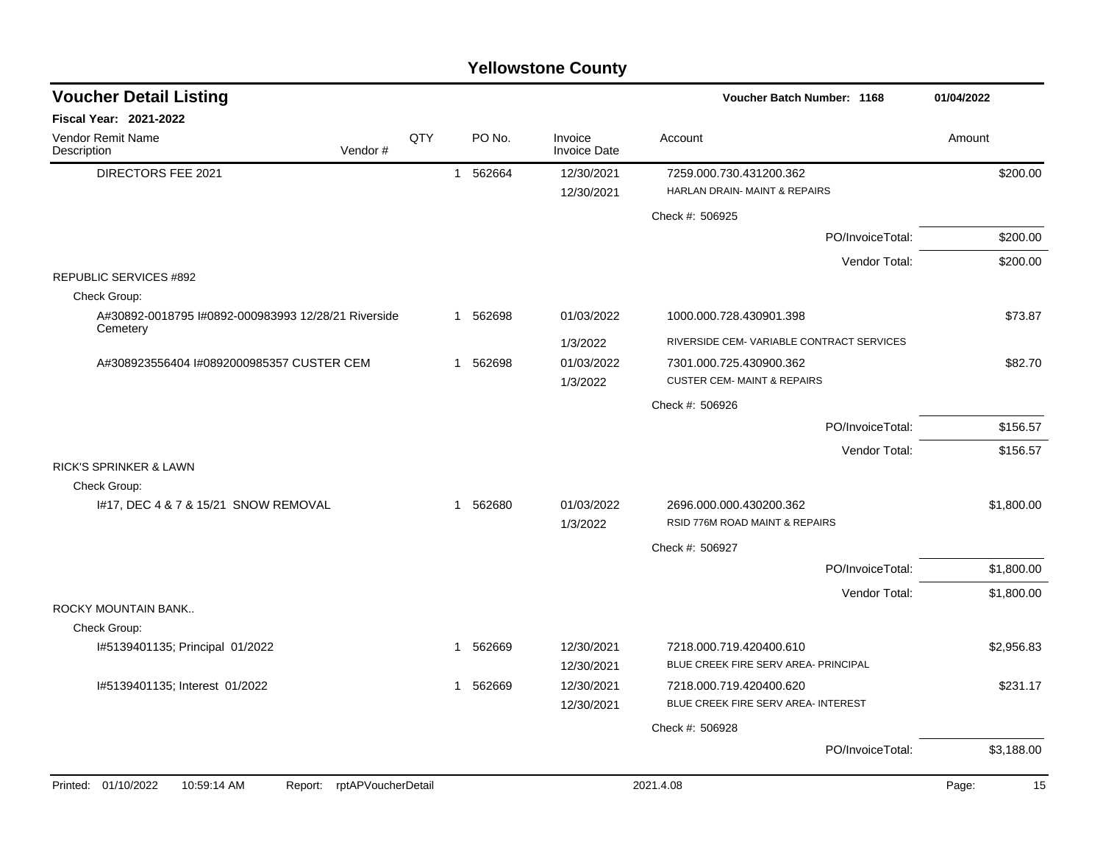| <b>Voucher Detail Listing</b>                                  |                    |     |              |          |                                | Voucher Batch Number: 1168                                          |                  | 01/04/2022  |
|----------------------------------------------------------------|--------------------|-----|--------------|----------|--------------------------------|---------------------------------------------------------------------|------------------|-------------|
| <b>Fiscal Year: 2021-2022</b>                                  |                    |     |              |          |                                |                                                                     |                  |             |
| Vendor Remit Name<br>Description                               | Vendor#            | QTY |              | PO No.   | Invoice<br><b>Invoice Date</b> | Account                                                             |                  | Amount      |
| DIRECTORS FEE 2021                                             |                    |     | $\mathbf{1}$ | 562664   | 12/30/2021<br>12/30/2021       | 7259.000.730.431200.362<br><b>HARLAN DRAIN- MAINT &amp; REPAIRS</b> |                  | \$200.00    |
|                                                                |                    |     |              |          |                                | Check #: 506925                                                     |                  |             |
|                                                                |                    |     |              |          |                                |                                                                     | PO/InvoiceTotal: | \$200.00    |
|                                                                |                    |     |              |          |                                |                                                                     | Vendor Total:    | \$200.00    |
| <b>REPUBLIC SERVICES #892</b>                                  |                    |     |              |          |                                |                                                                     |                  |             |
| Check Group:                                                   |                    |     |              |          |                                |                                                                     |                  |             |
| A#30892-0018795 #0892-000983993 12/28/21 Riverside<br>Cemetery |                    |     |              | 1 562698 | 01/03/2022                     | 1000.000.728.430901.398                                             |                  | \$73.87     |
|                                                                |                    |     |              |          | 1/3/2022                       | RIVERSIDE CEM-VARIABLE CONTRACT SERVICES                            |                  |             |
| A#308923556404 I#0892000985357 CUSTER CEM                      |                    |     | $\mathbf{1}$ | 562698   | 01/03/2022                     | 7301.000.725.430900.362                                             |                  | \$82.70     |
|                                                                |                    |     |              |          | 1/3/2022                       | <b>CUSTER CEM- MAINT &amp; REPAIRS</b>                              |                  |             |
|                                                                |                    |     |              |          |                                | Check #: 506926                                                     |                  |             |
|                                                                |                    |     |              |          |                                |                                                                     | PO/InvoiceTotal: | \$156.57    |
|                                                                |                    |     |              |          |                                |                                                                     | Vendor Total:    | \$156.57    |
| <b>RICK'S SPRINKER &amp; LAWN</b>                              |                    |     |              |          |                                |                                                                     |                  |             |
| Check Group:                                                   |                    |     |              |          |                                |                                                                     |                  |             |
| 1#17, DEC 4 & 7 & 15/21 SNOW REMOVAL                           |                    |     | 1            | 562680   | 01/03/2022                     | 2696.000.000.430200.362<br>RSID 776M ROAD MAINT & REPAIRS           |                  | \$1,800.00  |
|                                                                |                    |     |              |          | 1/3/2022                       |                                                                     |                  |             |
|                                                                |                    |     |              |          |                                | Check #: 506927                                                     |                  |             |
|                                                                |                    |     |              |          |                                |                                                                     | PO/InvoiceTotal: | \$1,800.00  |
| ROCKY MOUNTAIN BANK                                            |                    |     |              |          |                                |                                                                     | Vendor Total:    | \$1,800.00  |
| Check Group:                                                   |                    |     |              |          |                                |                                                                     |                  |             |
| I#5139401135; Principal 01/2022                                |                    |     | -1           | 562669   | 12/30/2021                     | 7218.000.719.420400.610                                             |                  | \$2,956.83  |
|                                                                |                    |     |              |          | 12/30/2021                     | BLUE CREEK FIRE SERV AREA- PRINCIPAL                                |                  |             |
| I#5139401135; Interest 01/2022                                 |                    |     | 1            | 562669   | 12/30/2021                     | 7218.000.719.420400.620                                             |                  | \$231.17    |
|                                                                |                    |     |              |          | 12/30/2021                     | BLUE CREEK FIRE SERV AREA- INTEREST                                 |                  |             |
|                                                                |                    |     |              |          |                                | Check #: 506928                                                     |                  |             |
|                                                                |                    |     |              |          |                                |                                                                     | PO/InvoiceTotal: | \$3,188.00  |
| Printed: 01/10/2022<br>10:59:14 AM                             | rptAPVoucherDetail |     |              |          |                                | 2021.4.08                                                           |                  | Page:<br>15 |
|                                                                | Report:            |     |              |          |                                |                                                                     |                  |             |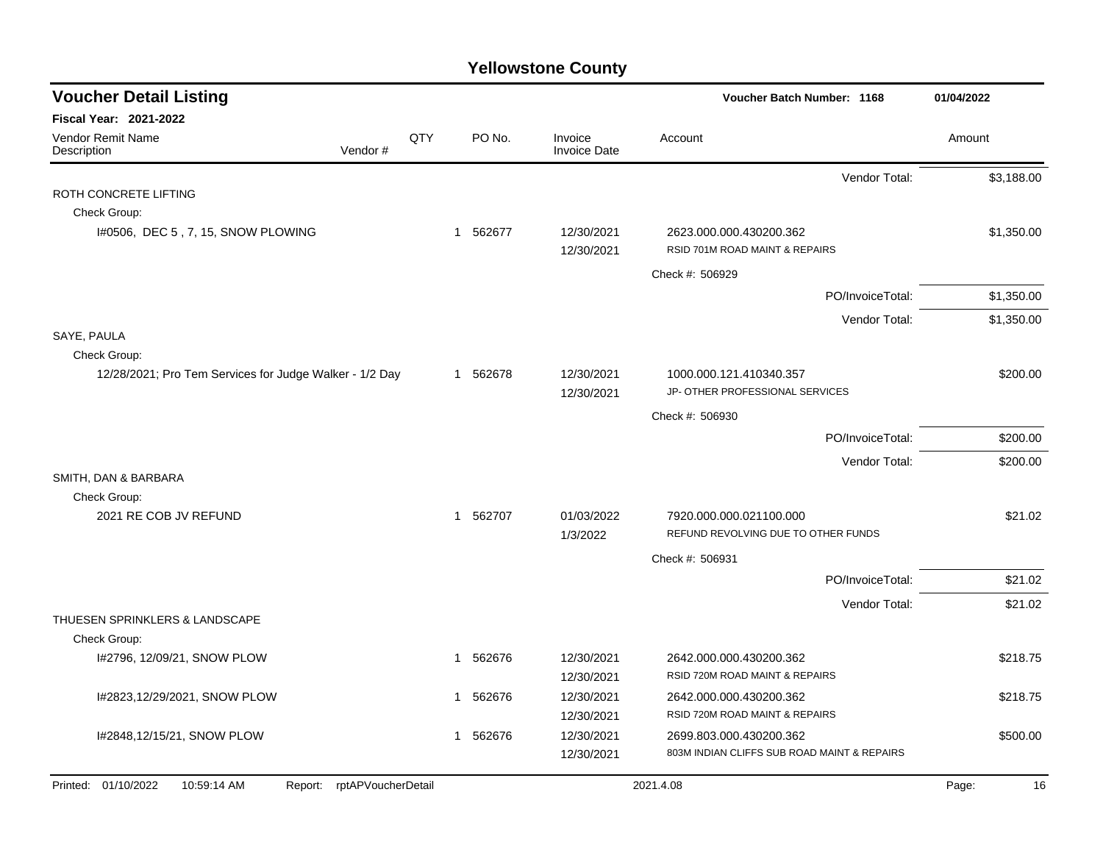| <b>Voucher Detail Listing</b>                                       |     |             |                                | Voucher Batch Number: 1168                                     | 01/04/2022  |
|---------------------------------------------------------------------|-----|-------------|--------------------------------|----------------------------------------------------------------|-------------|
| Fiscal Year: 2021-2022                                              |     |             |                                |                                                                |             |
| <b>Vendor Remit Name</b><br>Vendor#<br>Description                  | QTY | PO No.      | Invoice<br><b>Invoice Date</b> | Account                                                        | Amount      |
|                                                                     |     |             |                                | Vendor Total:                                                  | \$3,188.00  |
| ROTH CONCRETE LIFTING                                               |     |             |                                |                                                                |             |
| Check Group:                                                        |     |             |                                |                                                                |             |
| I#0506, DEC 5, 7, 15, SNOW PLOWING                                  |     | 1 562677    | 12/30/2021<br>12/30/2021       | 2623.000.000.430200.362<br>RSID 701M ROAD MAINT & REPAIRS      | \$1,350.00  |
|                                                                     |     |             |                                | Check #: 506929                                                |             |
|                                                                     |     |             |                                | PO/InvoiceTotal:                                               | \$1,350.00  |
|                                                                     |     |             |                                | Vendor Total:                                                  | \$1,350.00  |
| SAYE, PAULA                                                         |     |             |                                |                                                                |             |
| Check Group:                                                        |     |             |                                |                                                                |             |
| 12/28/2021; Pro Tem Services for Judge Walker - 1/2 Day             |     | 1 562678    | 12/30/2021                     | 1000.000.121.410340.357                                        | \$200.00    |
|                                                                     |     |             | 12/30/2021                     | JP- OTHER PROFESSIONAL SERVICES                                |             |
|                                                                     |     |             |                                | Check #: 506930                                                |             |
|                                                                     |     |             |                                | PO/InvoiceTotal:                                               | \$200.00    |
|                                                                     |     |             |                                | Vendor Total:                                                  | \$200.00    |
| SMITH, DAN & BARBARA                                                |     |             |                                |                                                                |             |
| Check Group:                                                        |     |             |                                |                                                                |             |
| 2021 RE COB JV REFUND                                               |     | 1 562707    | 01/03/2022<br>1/3/2022         | 7920.000.000.021100.000<br>REFUND REVOLVING DUE TO OTHER FUNDS | \$21.02     |
|                                                                     |     |             |                                | Check #: 506931                                                |             |
|                                                                     |     |             |                                | PO/InvoiceTotal:                                               | \$21.02     |
|                                                                     |     |             |                                |                                                                |             |
| THUESEN SPRINKLERS & LANDSCAPE                                      |     |             |                                | Vendor Total:                                                  | \$21.02     |
| Check Group:                                                        |     |             |                                |                                                                |             |
| I#2796, 12/09/21, SNOW PLOW                                         |     | 1 562676    | 12/30/2021                     | 2642.000.000.430200.362                                        | \$218.75    |
|                                                                     |     |             | 12/30/2021                     | RSID 720M ROAD MAINT & REPAIRS                                 |             |
| I#2823,12/29/2021, SNOW PLOW                                        |     | 562676<br>1 | 12/30/2021                     | 2642.000.000.430200.362                                        | \$218.75    |
|                                                                     |     |             | 12/30/2021                     | RSID 720M ROAD MAINT & REPAIRS                                 |             |
| I#2848,12/15/21, SNOW PLOW                                          |     | 1 562676    | 12/30/2021                     | 2699.803.000.430200.362                                        | \$500.00    |
|                                                                     |     |             | 12/30/2021                     | 803M INDIAN CLIFFS SUB ROAD MAINT & REPAIRS                    |             |
| Printed: 01/10/2022<br>10:59:14 AM<br>rptAPVoucherDetail<br>Report: |     |             |                                | 2021.4.08                                                      | Page:<br>16 |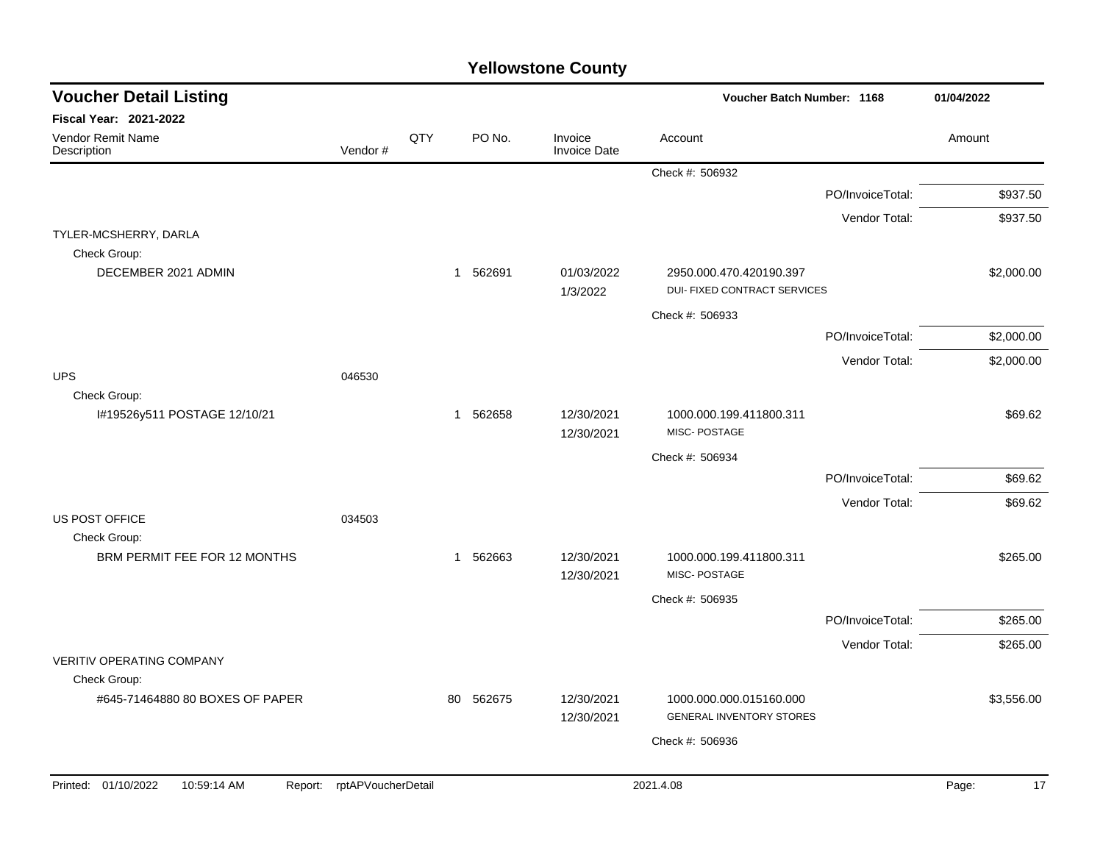| <b>Voucher Detail Listing</b>                   |                    |     |              |                                | Voucher Batch Number: 1168                                     |                  | 01/04/2022  |
|-------------------------------------------------|--------------------|-----|--------------|--------------------------------|----------------------------------------------------------------|------------------|-------------|
| <b>Fiscal Year: 2021-2022</b>                   |                    |     |              |                                |                                                                |                  |             |
| <b>Vendor Remit Name</b><br>Description         | Vendor#            | QTY | PO No.       | Invoice<br><b>Invoice Date</b> | Account                                                        |                  | Amount      |
|                                                 |                    |     |              |                                | Check #: 506932                                                |                  |             |
|                                                 |                    |     |              |                                |                                                                | PO/InvoiceTotal: | \$937.50    |
|                                                 |                    |     |              |                                |                                                                | Vendor Total:    | \$937.50    |
| TYLER-MCSHERRY, DARLA<br>Check Group:           |                    |     |              |                                |                                                                |                  |             |
| DECEMBER 2021 ADMIN                             |                    |     | 1 562691     | 01/03/2022<br>1/3/2022         | 2950.000.470.420190.397<br><b>DUI- FIXED CONTRACT SERVICES</b> |                  | \$2,000.00  |
|                                                 |                    |     |              |                                | Check #: 506933                                                |                  |             |
|                                                 |                    |     |              |                                |                                                                | PO/InvoiceTotal: | \$2,000.00  |
|                                                 |                    |     |              |                                |                                                                | Vendor Total:    | \$2,000.00  |
| <b>UPS</b>                                      | 046530             |     |              |                                |                                                                |                  |             |
| Check Group:<br>I#19526y511 POSTAGE 12/10/21    |                    |     | 1 562658     | 12/30/2021<br>12/30/2021       | 1000.000.199.411800.311<br>MISC-POSTAGE                        |                  | \$69.62     |
|                                                 |                    |     |              |                                | Check #: 506934                                                |                  |             |
|                                                 |                    |     |              |                                |                                                                | PO/InvoiceTotal: | \$69.62     |
|                                                 |                    |     |              |                                |                                                                | Vendor Total:    | \$69.62     |
| <b>US POST OFFICE</b><br>Check Group:           | 034503             |     |              |                                |                                                                |                  |             |
| BRM PERMIT FEE FOR 12 MONTHS                    |                    |     | 562663<br>-1 | 12/30/2021<br>12/30/2021       | 1000.000.199.411800.311<br>MISC-POSTAGE                        |                  | \$265.00    |
|                                                 |                    |     |              |                                | Check #: 506935                                                |                  |             |
|                                                 |                    |     |              |                                |                                                                | PO/InvoiceTotal: | \$265.00    |
|                                                 |                    |     |              |                                |                                                                | Vendor Total:    | \$265.00    |
| <b>VERITIV OPERATING COMPANY</b>                |                    |     |              |                                |                                                                |                  |             |
| Check Group:<br>#645-71464880 80 BOXES OF PAPER |                    |     | 562675<br>80 | 12/30/2021                     | 1000.000.000.015160.000                                        |                  | \$3,556.00  |
|                                                 |                    |     |              | 12/30/2021                     | <b>GENERAL INVENTORY STORES</b>                                |                  |             |
|                                                 |                    |     |              |                                | Check #: 506936                                                |                  |             |
|                                                 |                    |     |              |                                |                                                                |                  |             |
| Printed: 01/10/2022<br>10:59:14 AM<br>Report:   | rptAPVoucherDetail |     |              |                                | 2021.4.08                                                      |                  | 17<br>Page: |